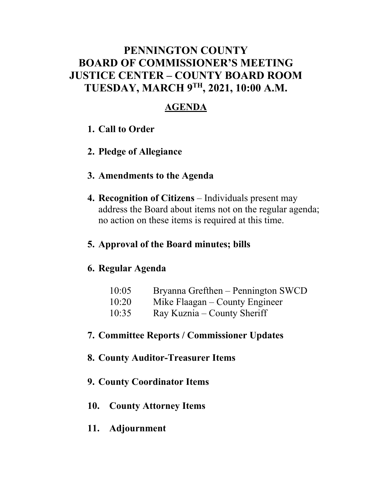### **PENNINGTON COUNTY BOARD OF COMMISSIONER'S MEETING JUSTICE CENTER – COUNTY BOARD ROOM TUESDAY, MARCH 9TH, 2021, 10:00 A.M.**

### **AGENDA**

- **1. Call to Order**
- **2. Pledge of Allegiance**
- **3. Amendments to the Agenda**
- **4. Recognition of Citizens** Individuals present may address the Board about items not on the regular agenda; no action on these items is required at this time.

### **5. Approval of the Board minutes; bills**

### **6. Regular Agenda**

| 10:05 | Bryanna Grefthen – Pennington SWCD |
|-------|------------------------------------|
| 10:20 | Mike Flaagan – County Engineer     |
| 10:35 | Ray Kuznia – County Sheriff        |

### **7. Committee Reports / Commissioner Updates**

### **8. County Auditor-Treasurer Items**

### **9. County Coordinator Items**

- **10. County Attorney Items**
- **11. Adjournment**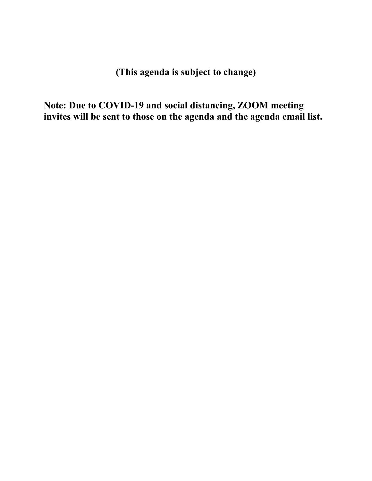**(This agenda is subject to change)** 

**Note: Due to COVID-19 and social distancing, ZOOM meeting invites will be sent to those on the agenda and the agenda email list.**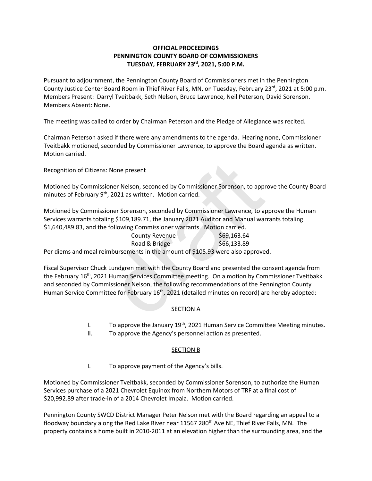#### **OFFICIAL PROCEEDINGS PENNINGTON COUNTY BOARD OF COMMISSIONERS TUESDAY, FEBRUARY 23rd , 2021, 5:00 P.M.**

Pursuant to adjournment, the Pennington County Board of Commissioners met in the Pennington County Justice Center Board Room in Thief River Falls, MN, on Tuesday, February 23<sup>rd</sup>, 2021 at 5:00 p.m. Members Present: Darryl Tveitbakk, Seth Nelson, Bruce Lawrence, Neil Peterson, David Sorenson. Members Absent: None.

The meeting was called to order by Chairman Peterson and the Pledge of Allegiance was recited.

Chairman Peterson asked if there were any amendments to the agenda. Hearing none, Commissioner Tveitbakk motioned, seconded by Commissioner Lawrence, to approve the Board agenda as written. Motion carried.

Recognition of Citizens: None present

Motioned by Commissioner Nelson, seconded by Commissioner Sorenson, to approve the County Board minutes of February 9<sup>th</sup>, 2021 as written. Motion carried.

Motioned by Commissioner Sorenson, seconded by Commissioner Lawrence, to approve the Human Services warrants totaling \$109,189.71, the January 2021 Auditor and Manual warrants totaling \$1,640,489.83, and the following Commissioner warrants. Motion carried.

| County Revenue                                                                  | \$69,163.64 |
|---------------------------------------------------------------------------------|-------------|
| Road & Bridge                                                                   | \$66,133.89 |
| Per diems and meal reimbursements in the amount of \$105.93 were also approved. |             |

Fiscal Supervisor Chuck Lundgren met with the County Board and presented the consent agenda from the February 16<sup>th</sup>, 2021 Human Services Committee meeting. On a motion by Commissioner Tveitbakk and seconded by Commissioner Nelson, the following recommendations of the Pennington County Human Service Committee for February 16<sup>th</sup>, 2021 (detailed minutes on record) are hereby adopted: : None present<br>
ioner Nelson, seconded by Commissioner Sorenson, to appr<br>
", 2021 as written. Motion carried.<br>
ioner Sorenson, seconded by Commissioner Lawrence, to a<br>
ing \$109,189.71, the January 2021 Auditor and Manual

#### **SECTION A**

- I. To approve the January  $19<sup>th</sup>$ , 2021 Human Service Committee Meeting minutes.
- II. To approve the Agency's personnel action as presented.

#### SECTION B

I. To approve payment of the Agency's bills.

Motioned by Commissioner Tveitbakk, seconded by Commissioner Sorenson, to authorize the Human Services purchase of a 2021 Chevrolet Equinox from Northern Motors of TRF at a final cost of \$20,992.89 after trade-in of a 2014 Chevrolet Impala. Motion carried.

Pennington County SWCD District Manager Peter Nelson met with the Board regarding an appeal to a floodway boundary along the Red Lake River near 11567 280<sup>th</sup> Ave NE, Thief River Falls, MN. The property contains a home built in 2010-2011 at an elevation higher than the surrounding area, and the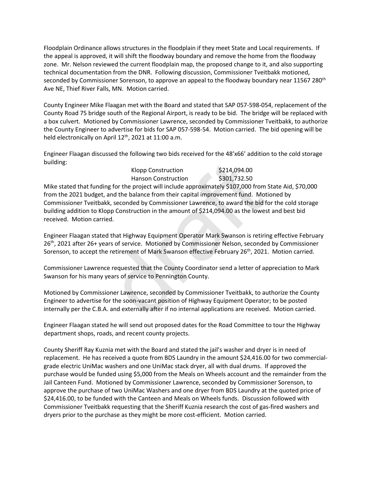Floodplain Ordinance allows structures in the floodplain if they meet State and Local requirements. If the appeal is approved, it will shift the floodway boundary and remove the home from the floodway zone. Mr. Nelson reviewed the current floodplain map, the proposed change to it, and also supporting technical documentation from the DNR. Following discussion, Commissioner Tveitbakk motioned, seconded by Commissioner Sorenson, to approve an appeal to the floodway boundary near 11567 280<sup>th</sup> Ave NE, Thief River Falls, MN. Motion carried.

County Engineer Mike Flaagan met with the Board and stated that SAP 057-598-054, replacement of the County Road 75 bridge south of the Regional Airport, is ready to be bid. The bridge will be replaced with a box culvert. Motioned by Commissioner Lawrence, seconded by Commissioner Tveitbakk, to authorize the County Engineer to advertise for bids for SAP 057-598-54. Motion carried. The bid opening will be held electronically on April 12<sup>th</sup>, 2021 at 11:00 a.m.

Engineer Flaagan discussed the following two bids received for the 48'x66' addition to the cold storage building:

| <b>Klopp Construction</b>  | \$214,094.00 |
|----------------------------|--------------|
| <b>Hanson Construction</b> | \$301,732.50 |

Mike stated that funding for the project will include approximately \$107,000 from State Aid, \$70,000 from the 2021 budget, and the balance from their capital improvement fund. Motioned by Commissioner Tveitbakk, seconded by Commissioner Lawrence, to award the bid for the cold storage building addition to Klopp Construction in the amount of \$214,094.00 as the lowest and best bid received. Motion carried. Klopp Construction \$214,094.00<br>
Hanson Construction \$301,732.50<br>
org for the project will include approximately \$107,000 from<br>
and the balance from their capital improvement fund. Mois<br>
k, seconded by Commissioner Lawrenc

Engineer Flaagan stated that Highway Equipment Operator Mark Swanson is retiring effective February 26th, 2021 after 26+ years of service. Motioned by Commissioner Nelson, seconded by Commissioner Sorenson, to accept the retirement of Mark Swanson effective February 26<sup>th</sup>, 2021. Motion carried.

Commissioner Lawrence requested that the County Coordinator send a letter of appreciation to Mark Swanson for his many years of service to Pennington County.

Motioned by Commissioner Lawrence, seconded by Commissioner Tveitbakk, to authorize the County Engineer to advertise for the soon-vacant position of Highway Equipment Operator; to be posted internally per the C.B.A. and externally after if no internal applications are received. Motion carried.

Engineer Flaagan stated he will send out proposed dates for the Road Committee to tour the Highway department shops, roads, and recent county projects.

County Sheriff Ray Kuznia met with the Board and stated the jail's washer and dryer is in need of replacement. He has received a quote from BDS Laundry in the amount \$24,416.00 for two commercialgrade electric UniMac washers and one UniMac stack dryer, all with dual drums. If approved the purchase would be funded using \$5,000 from the Meals on Wheels account and the remainder from the Jail Canteen Fund. Motioned by Commissioner Lawrence, seconded by Commissioner Sorenson, to approve the purchase of two UniMac Washers and one dryer from BDS Laundry at the quoted price of \$24,416.00, to be funded with the Canteen and Meals on Wheels funds. Discussion followed with Commissioner Tveitbakk requesting that the Sheriff Kuznia research the cost of gas-fired washers and dryers prior to the purchase as they might be more cost-efficient. Motion carried.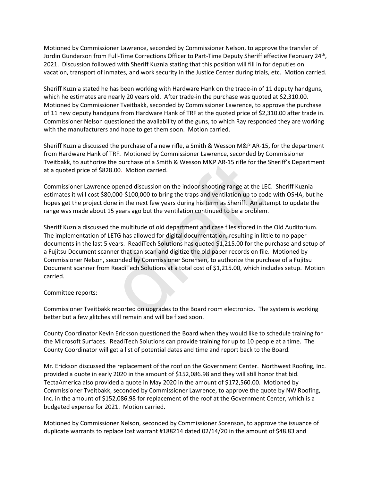Motioned by Commissioner Lawrence, seconded by Commissioner Nelson, to approve the transfer of Jordin Gunderson from Full-Time Corrections Officer to Part-Time Deputy Sheriff effective February 24<sup>th</sup>, 2021. Discussion followed with Sheriff Kuznia stating that this position will fill in for deputies on vacation, transport of inmates, and work security in the Justice Center during trials, etc. Motion carried.

Sheriff Kuznia stated he has been working with Hardware Hank on the trade-in of 11 deputy handguns, which he estimates are nearly 20 years old. After trade-in the purchase was quoted at \$2,310.00. Motioned by Commissioner Tveitbakk, seconded by Commissioner Lawrence, to approve the purchase of 11 new deputy handguns from Hardware Hank of TRF at the quoted price of \$2,310.00 after trade in. Commissioner Nelson questioned the availability of the guns, to which Ray responded they are working with the manufacturers and hope to get them soon. Motion carried.

Sheriff Kuznia discussed the purchase of a new rifle, a Smith & Wesson M&P AR-15, for the department from Hardware Hank of TRF. Motioned by Commissioner Lawrence, seconded by Commissioner Tveitbakk, to authorize the purchase of a Smith & Wesson M&P AR-15 rifle for the Sheriff's Department at a quoted price of \$828.00. Motion carried.

Commissioner Lawrence opened discussion on the indoor shooting range at the LEC. Sheriff Kuznia estimates it will cost \$80,000-\$100,000 to bring the traps and ventilation up to code with OSHA, but he hopes get the project done in the next few years during his term as Sheriff. An attempt to update the range was made about 15 years ago but the ventilation continued to be a problem.

Sheriff Kuznia discussed the multitude of old department and case files stored in the Old Auditorium. The implementation of LETG has allowed for digital documentation, resulting in little to no paper documents in the last 5 years. ReadiTech Solutions has quoted \$1,215.00 for the purchase and setup of a Fujitsu Document scanner that can scan and digitize the old paper records on file. Motioned by Commissioner Nelson, seconded by Commissioner Sorensen, to authorize the purchase of a Fujitsu Document scanner from ReadiTech Solutions at a total cost of \$1,215.00, which includes setup. Motion carried. the purchase of a Smith & Wesson M&P AR-15 rifle for the<br>28.00. Motion carried.<br>28.00. Motion carried.<br>28.00. Motion carried.<br>28.00.00-\$100,000 to bring the traps and ventilation up to cod<br>20.000-\$100,000 to bring the trap

#### Committee reports:

Commissioner Tveitbakk reported on upgrades to the Board room electronics. The system is working better but a few glitches still remain and will be fixed soon.

County Coordinator Kevin Erickson questioned the Board when they would like to schedule training for the Microsoft Surfaces. ReadiTech Solutions can provide training for up to 10 people at a time. The County Coordinator will get a list of potential dates and time and report back to the Board.

Mr. Erickson discussed the replacement of the roof on the Government Center. Northwest Roofing, Inc. provided a quote in early 2020 in the amount of \$152,086.98 and they will still honor that bid. TectaAmerica also provided a quote in May 2020 in the amount of \$172,560.00. Motioned by Commissioner Tveitbakk, seconded by Commissioner Lawrence, to approve the quote by NW Roofing, Inc. in the amount of \$152,086.98 for replacement of the roof at the Government Center, which is a budgeted expense for 2021. Motion carried.

Motioned by Commissioner Nelson, seconded by Commissioner Sorenson, to approve the issuance of duplicate warrants to replace lost warrant #188214 dated 02/14/20 in the amount of \$48.83 and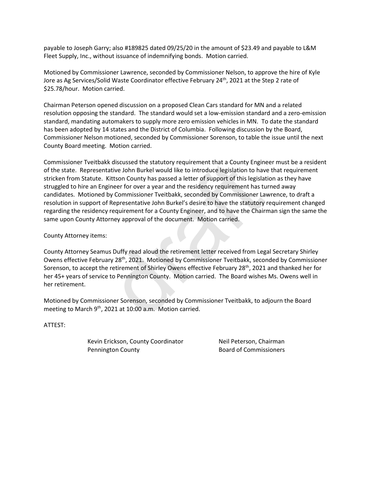payable to Joseph Garry; also #189825 dated 09/25/20 in the amount of \$23.49 and payable to L&M Fleet Supply, Inc., without issuance of indemnifying bonds. Motion carried.

Motioned by Commissioner Lawrence, seconded by Commissioner Nelson, to approve the hire of Kyle Jore as Ag Services/Solid Waste Coordinator effective February 24<sup>th</sup>, 2021 at the Step 2 rate of \$25.78/hour. Motion carried.

Chairman Peterson opened discussion on a proposed Clean Cars standard for MN and a related resolution opposing the standard. The standard would set a low-emission standard and a zero-emission standard, mandating automakers to supply more zero emission vehicles in MN. To date the standard has been adopted by 14 states and the District of Columbia. Following discussion by the Board, Commissioner Nelson motioned, seconded by Commissioner Sorenson, to table the issue until the next County Board meeting. Motion carried.

Commissioner Tveitbakk discussed the statutory requirement that a County Engineer must be a resident of the state. Representative John Burkel would like to introduce legislation to have that requirement stricken from Statute. Kittson County has passed a letter of support of this legislation as they have struggled to hire an Engineer for over a year and the residency requirement has turned away candidates. Motioned by Commissioner Tveitbakk, seconded by Commissioner Lawrence, to draft a resolution in support of Representative John Burkel's desire to have the statutory requirement changed regarding the residency requirement for a County Engineer, and to have the Chairman sign the same the same upon County Attorney approval of the document. Motion carried. k discussed the statutory requirement that a County Enginary<br>tative John Burkel would like to introduce legislation to hav<br>Kittson County has passed a letter of support of this legislat<br>gineer for over a year and the resid

County Attorney items:

County Attorney Seamus Duffy read aloud the retirement letter received from Legal Secretary Shirley Owens effective February 28<sup>th</sup>, 2021. Motioned by Commissioner Tveitbakk, seconded by Commissioner Sorenson, to accept the retirement of Shirley Owens effective February 28<sup>th</sup>, 2021 and thanked her for her 45+ years of service to Pennington County. Motion carried. The Board wishes Ms. Owens well in her retirement.

Motioned by Commissioner Sorenson, seconded by Commissioner Tveitbakk, to adjourn the Board meeting to March  $9<sup>th</sup>$ , 2021 at 10:00 a.m. Motion carried.

ATTEST:

Kevin Erickson, County Coordinator **Neil Peterson, Chairman Pennington County Commissioners** Board of Commissioners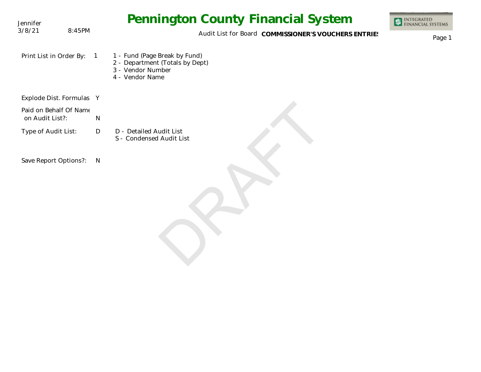| Jennifer                                  |                | <b>Pennington County Financial System</b>                                                                | <b>INTEGRATED<br/>FINANCIAL SYSTEMS</b> |
|-------------------------------------------|----------------|----------------------------------------------------------------------------------------------------------|-----------------------------------------|
| 3/8/21                                    | 8:45PM         | Audit List for Board COMMISSIONER'S VOUCHERS ENTRIES                                                     | Page 1                                  |
| Print List in Order By:                   | $\overline{1}$ | 1 - Fund (Page Break by Fund)<br>2 - Department (Totals by Dept)<br>3 - Vendor Number<br>4 - Vendor Name |                                         |
| Explode Dist. Formulas Y                  |                |                                                                                                          |                                         |
| Paid on Behalf Of Name<br>on Audit List?: |                | $\mathsf{N}$                                                                                             |                                         |
| Type of Audit List:                       |                | $\mathsf{D}$<br>D - Detailed Audit List<br>S - Condensed Audit List                                      |                                         |
| Save Report Options?:                     |                | $\mathsf{N}$                                                                                             |                                         |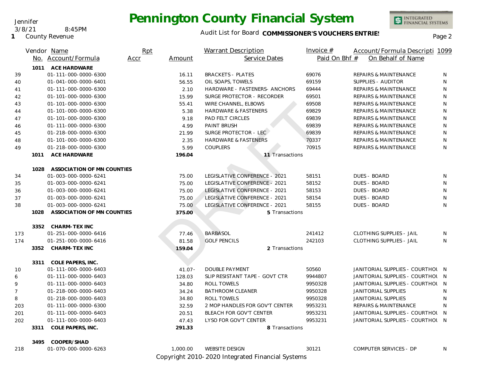#### Jennifer

3/8/21 8:45PM

**1** County Revenue

## **Pennington County Financial System**

### Audit List for Board COMMISSIONER'S VOUCHERS ENTRIES<br>Page 2

INTEGRATED<br>FINANCIAL SYSTEMS

|                |      | Vendor Name                     | Rpt  |           | <b>Warrant Description</b>      | Invoice $#$   | Account/Formula Descripti 1099        |     |
|----------------|------|---------------------------------|------|-----------|---------------------------------|---------------|---------------------------------------|-----|
|                |      | No. Account/Formula             | Accr | Amount    | Service Dates                   | Paid On Bhf # | On Behalf of Name                     |     |
|                |      | 1011 ACE HARDWARE               |      |           |                                 |               |                                       |     |
| 39             |      | 01-111-000-0000-6300            |      | 16.11     | <b>BRACKETS - PLATES</b>        | 69076         | <b>REPAIRS &amp; MAINTENANCE</b>      | N   |
| 40             |      | 01-041-000-0000-6401            |      | 56.55     | OIL SOAPS, TOWELS               | 69159         | SUPPLIES - AUDITOR                    | N   |
| 41             |      | 01-111-000-0000-6300            |      | 2.10      | HARDWARE - FASTENERS- ANCHORS   | 69444         | <b>REPAIRS &amp; MAINTENANCE</b>      | N   |
| 42             |      | 01-101-000-0000-6300            |      | 15.99     | SURGE PROTECTOR - RECORDER      | 69501         | <b>REPAIRS &amp; MAINTENANCE</b>      | N   |
| 43             |      | 01-101-000-0000-6300            |      | 55.41     | WIRE CHANNEL, ELBOWS            | 69508         | <b>REPAIRS &amp; MAINTENANCE</b>      | N   |
| 44             |      | 01-101-000-0000-6300            |      | 5.38      | <b>HARDWARE &amp; FASTENERS</b> | 69829         | <b>REPAIRS &amp; MAINTENANCE</b>      | N   |
| 47             |      | 01-101-000-0000-6300            |      | 9.18      | <b>PAD FELT CIRCLES</b>         | 69839         | <b>REPAIRS &amp; MAINTENANCE</b>      | N   |
| 46             |      | 01-111-000-0000-6300            |      | 4.99      | PAINT BRUSH                     | 69839         | <b>REPAIRS &amp; MAINTENANCE</b>      | N   |
| 45             |      | 01-218-000-0000-6300            |      | 21.99     | SURGE PROTECTOR - LEC.          | 69839         | <b>REPAIRS &amp; MAINTENANCE</b>      | N   |
| 48             |      | 01-101-000-0000-6300            |      | 2.35      | <b>HARDWARE &amp; FASTENERS</b> | 70337         | <b>REPAIRS &amp; MAINTENANCE</b>      | N   |
| 49             |      | 01-218-000-0000-6300            |      | 5.99      | <b>COUPLERS</b>                 | 70915         | <b>REPAIRS &amp; MAINTENANCE</b>      | N   |
|                | 1011 | <b>ACE HARDWARE</b>             |      | 196.04    | 11 Transactions                 |               |                                       |     |
|                |      | 1028 ASSOCIATION OF MN COUNTIES |      |           |                                 |               |                                       |     |
| 34             |      | 01-003-000-0000-6241            |      | 75.00     | LEGISLATIVE CONFERENCE - 2021   | 58151         | <b>DUES - BOARD</b>                   | N   |
| 35             |      | 01-003-000-0000-6241            |      | 75.00     | LEGISLATIVE CONFERENCE - 2021   | 58152         | <b>DUES - BOARD</b>                   | N   |
| 36             |      | 01-003-000-0000-6241            |      | 75.00     | LEGISLATIVE CONFERENCE - 2021   | 58153         | <b>DUES - BOARD</b>                   | N   |
| 37             |      | 01-003-000-0000-6241            |      | 75.00     | LEGISLATIVE CONFERENCE - 2021   | 58154         | <b>DUES - BOARD</b>                   | N   |
| 38             |      | 01-003-000-0000-6241            |      | 75.00     | LEGISLATIVE CONFERENCE - 2021   | 58155         | <b>DUES - BOARD</b>                   | N   |
|                | 1028 | ASSOCIATION OF MN COUNTIES      |      | 375.00    | 5 Transactions                  |               |                                       |     |
|                |      | 3352 CHARM-TEX INC              |      |           |                                 |               |                                       |     |
| 173            |      | 01-251-000-0000-6416            |      | 77.46     | <b>BARBASOL</b>                 | 241412        | <b>CLOTHING SUPPLIES - JAIL</b>       | N   |
| 174            |      | 01-251-000-0000-6416            |      | 81.58     | <b>GOLF PENCILS</b>             | 242103        | <b>CLOTHING SUPPLIES - JAIL</b>       | N   |
|                | 3352 | CHARM-TEX INC                   |      | 159.04    | 2 Transactions                  |               |                                       |     |
|                |      | 3311 COLE PAPERS, INC.          |      |           |                                 |               |                                       |     |
| 10             |      | 01-111-000-0000-6403            |      | $41.07 -$ | <b>DOUBLE PAYMENT</b>           | 50560         | JANITORIAL SUPPLIES - COURTHOL N      |     |
| 6              |      | 01-111-000-0000-6403            |      | 128.03    | SLIP RESISTANT TAPE - GOVT CTR  | 9944807       | JANITORIAL SUPPLIES - COURTHOL        | - N |
| 9              |      | 01-111-000-0000-6403            |      | 34.80     | <b>ROLL TOWELS</b>              | 9950328       | <b>JANITORIAL SUPPLIES - COURTHOL</b> | N   |
| $\overline{7}$ |      | 01-218-000-0000-6403            |      | 34.24     | <b>BATHROOM CLEANER</b>         | 9950328       | JANITORIAL SUPPLIES                   | N   |
| 8              |      | 01-218-000-0000-6403            |      | 34.80     | ROLL TOWELS                     | 9950328       | <b>JANITORIAL SUPPLIES</b>            | N   |
| 203            |      | 01-111-000-0000-6300            |      | 32.59     | 2 MOP HANDLES FOR GOV'T CENTER  | 9953231       | <b>REPAIRS &amp; MAINTENANCE</b>      | N   |
| 201            |      | 01-111-000-0000-6403            |      | 20.51     | BLEACH FOR GOV'T CENTER         | 9953231       | JANITORIAL SUPPLIES - COURTHOL N      |     |
| 202            |      | 01-111-000-0000-6403            |      | 47.43     | LYSO FOR GOV'T CENTER           | 9953231       | JANITORIAL SUPPLIES - COURTHOL N      |     |
|                | 3311 | COLE PAPERS, INC.               |      | 291.33    | 8 Transactions                  |               |                                       |     |
|                |      |                                 |      |           |                                 |               |                                       |     |

**3495 COOPER/SHAD**

218 01-070-000-0000-6263 1,000.00

Copyright 2010-2020 Integrated Financial Systems 01-070-000-0000-6263 WEBSITE DESIGN 30121 COMPUTER SERVICES - DP N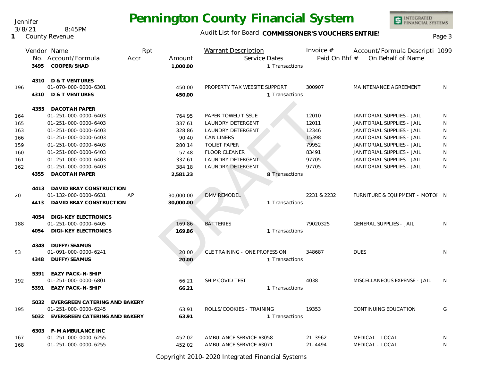Jennifer

3/8/21 8:45PM

**1** County Revenue

# **Pennington County Financial System**

Audit List for Board COMMISSIONER'S VOUCHERS ENTRIES<br>Page 3

INTEGRATED<br>FINANCIAL SYSTEMS

|     |      | Vendor Name                        | Rpt  |           | <b>Warrant Description</b>    |                | Invoice $#$   | Account/Formula Descripti 1099  |              |
|-----|------|------------------------------------|------|-----------|-------------------------------|----------------|---------------|---------------------------------|--------------|
|     |      | No. Account/Formula                | Accr | Amount    | Service Dates                 |                | Paid On Bhf # | On Behalf of Name               |              |
|     | 3495 | COOPER/SHAD                        |      | 1,000.00  |                               | 1 Transactions |               |                                 |              |
|     |      |                                    |      |           |                               |                |               |                                 |              |
|     |      | 4310 D & T VENTURES                |      |           |                               |                |               |                                 |              |
| 196 |      | 01-070-000-0000-6301               |      | 450.00    | PROPERTY TAX WEBSITE SUPPORT  |                | 300907        | MAINTENANCE AGREEMENT           | <sup>N</sup> |
|     | 4310 | D & T VENTURES                     |      | 450.00    |                               | 1 Transactions |               |                                 |              |
|     | 4355 | <b>DACOTAH PAPER</b>               |      |           |                               |                |               |                                 |              |
| 164 |      | 01-251-000-0000-6403               |      | 764.95    | PAPER TOWEL/TISSUE            |                | 12010         | JANITORIAL SUPPLIES - JAIL      | N            |
| 165 |      | 01-251-000-0000-6403               |      | 337.61    | <b>LAUNDRY DETERGENT</b>      |                | 12011         | JANITORIAL SUPPLIES - JAIL      | N            |
| 163 |      | 01-251-000-0000-6403               |      | 328.86    | LAUNDRY DETERGENT             |                | 12346         | JANITORIAL SUPPLIES - JAIL      | <sup>N</sup> |
| 166 |      | 01-251-000-0000-6403               |      | 90.40     | <b>CAN LINERS</b>             |                | 15398         | JANITORIAL SUPPLIES - JAIL      | N            |
| 159 |      | 01-251-000-0000-6403               |      | 280.14    | <b>TOLIET PAPER</b>           |                | 79952         | JANITORIAL SUPPLIES - JAIL      | N            |
| 160 |      | 01-251-000-0000-6403               |      | 57.48     | FLOOR CLEANER                 |                | 83491         | JANITORIAL SUPPLIES - JAIL      | N            |
| 161 |      | 01-251-000-0000-6403               |      | 337.61    | LAUNDRY DETERGENT             |                | 97705         | JANITORIAL SUPPLIES - JAIL      | N            |
| 162 |      | 01-251-000-0000-6403               |      | 384.18    | <b>LAUNDRY DETERGENT</b>      |                | 97705         | JANITORIAL SUPPLIES - JAIL      | N            |
|     | 4355 | <b>DACOTAH PAPER</b>               |      | 2,581.23  |                               | 8 Transactions |               |                                 |              |
|     |      |                                    |      |           |                               |                |               |                                 |              |
|     | 4413 | DAVID BRAY CONSTRUCTION            |      |           |                               |                |               |                                 |              |
| 20  |      | 01-132-000-0000-6631               | AP   | 30,000.00 | <b>DMV REMODEL</b>            |                | 2231 & 2232   | FURNITURE & EQUIPMENT - MOTOI N |              |
|     |      | 4413 DAVID BRAY CONSTRUCTION       |      | 30,000.00 |                               | 1 Transactions |               |                                 |              |
|     |      |                                    |      |           |                               |                |               |                                 |              |
|     | 4054 | <b>DIGI-KEY ELECTRONICS</b>        |      |           |                               |                |               |                                 |              |
| 188 |      | 01-251-000-0000-6405               |      | 169.86    | <b>BATTERIES</b>              |                | 79020325      | <b>GENERAL SUPPLIES - JAIL</b>  | N            |
|     | 4054 | DIGI-KEY ELECTRONICS               |      | 169.86    |                               | 1 Transactions |               |                                 |              |
|     | 4348 | DUFFY/SEAMUS                       |      |           |                               |                |               |                                 |              |
| 53  |      | 01-091-000-0000-6241               |      | 20.00     | CLE TRAINING - ONE PROFESSION |                | 348687        | <b>DUES</b>                     | N            |
|     | 4348 | DUFFY/SEAMUS                       |      | 20.00     |                               | 1 Transactions |               |                                 |              |
|     |      |                                    |      |           |                               |                |               |                                 |              |
|     | 5391 | EAZY PACK-N-SHIP                   |      |           |                               |                |               |                                 |              |
| 192 |      | 01-251-000-0000-6801               |      | 66.21     | SHIP COVID TEST               |                | 4038          | MISCELLANEOUS EXPENSE - JAIL    | <sup>N</sup> |
|     | 5391 | <b>EAZY PACK-N-SHIP</b>            |      | 66.21     |                               | 1 Transactions |               |                                 |              |
|     |      |                                    |      |           |                               |                |               |                                 |              |
|     | 5032 | EVERGREEN CATERING AND BAKERY      |      |           |                               |                |               |                                 |              |
| 195 |      | 01-251-000-0000-6245               |      | 63.91     | ROLLS/COOKIES - TRAINING      |                | 19353         | <b>CONTINUING EDUCATION</b>     | G            |
|     |      | 5032 EVERGREEN CATERING AND BAKERY |      | 63.91     |                               | 1 Transactions |               |                                 |              |
|     |      | 6303 F-M AMBULANCE INC             |      |           |                               |                |               |                                 |              |
| 167 |      | 01-251-000-0000-6255               |      | 452.02    | AMBULANCE SERVICE #3058       |                | $21 - 3962$   | MEDICAL - LOCAL                 | N            |
| 168 |      | 01-251-000-0000-6255               |      | 452.02    | AMBULANCE SERVICE #3071       |                | $21 - 4494$   | MEDICAL - LOCAL                 | N            |
|     |      |                                    |      |           |                               |                |               |                                 |              |

Copyright 2010-2020 Integrated Financial Systems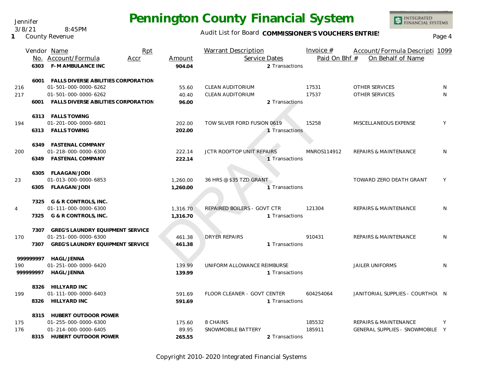Audit List for Board COMMISSIONER'S VOUCHERS ENTRIES<br>Page 4

INTEGRATED<br>FINANCIAL SYSTEMS

| On Behalf of Name<br>No. Account/Formula<br>Service Dates<br>Paid On Bhf #<br>Accr<br>Amount<br>6303 F-M AMBULANCE INC<br>904.04<br>2 Transactions<br>FALLS DIVERSE ABILITIES CORPORATION<br>6001<br>CLEAN AUDITORIUM<br><b>OTHER SERVICES</b><br>216<br>01-501-000-0000-6262<br>17531<br>55.60<br>N.<br>17537<br><b>OTHER SERVICES</b><br>01-501-000-0000-6262<br>CLEAN AUDITORIUM<br>N<br>40.40<br>217<br><b>FALLS DIVERSE ABILITIES CORPORATION</b><br>96.00<br>2 Transactions<br>6001<br>6313 FALLS TOWING<br>01-201-000-0000-6801<br>15258<br>TOW SILVER FORD FUSION 0619<br>MISCELLANEOUS EXPENSE<br>Y<br>194<br>202.00<br>6313 FALLS TOWING<br>202.00<br>1 Transactions<br>6349 FASTENAL COMPANY<br>01-218-000-0000-6300<br>JCTR ROOFTOP UNIT REPAIRS<br>MNROS114912<br><b>REPAIRS &amp; MAINTENANCE</b><br>N<br>222.14<br>200<br>6349 FASTENAL COMPANY<br>222.14<br>1 Transactions<br>6305 FLAAGAN/JODI<br>36 HRS @ \$35 TZD GRANT<br><b>TOWARD ZERO DEATH GRANT</b><br>01-013-000-0000-6853<br>Y<br>23<br>1,260.00<br>6305 FLAAGAN/JODI<br>1 Transactions<br>1,260.00<br>7325 G & R CONTROLS, INC.<br>01-111-000-0000-6300<br>REPAIRED BOILERS - GOVT CTR<br>121304<br><b>REPAIRS &amp; MAINTENANCE</b><br>1,316.70<br>N<br>4<br>7325 G & R CONTROLS, INC.<br>1,316.70<br>1 Transactions<br><b>GREG'S LAUNDRY EQUIPMENT SERVICE</b><br>7307<br><b>DRYER REPAIRS</b><br>01-251-000-0000-6300<br>910431<br><b>REPAIRS &amp; MAINTENANCE</b><br>N<br>170<br>461.38<br><b>GREG'S LAUNDRY EQUIPMENT SERVICE</b><br>7307<br>461.38<br>1 Transactions<br><b>HAGL/JENNA</b><br>99999997<br>01-251-000-0000-6420<br>139.99<br>UNIFORM ALLOWANCE REIMBURSE<br><b>JAILER UNIFORMS</b><br>N<br>190<br>99999997<br><b>HAGL/JENNA</b><br>139.99<br>1 Transactions<br>8326 HILLYARD INC<br>01-111-000-0000-6403<br>FLOOR CLEANER - GOVT CENTER<br>604254064<br>JANITORIAL SUPPLIES - COURTHOL N<br>591.69<br>199<br>8326 HILLYARD INC<br>591.69<br>1 Transactions<br>8315 HUBERT OUTDOOR POWER<br>01-255-000-0000-6300<br>8 CHAINS<br>185532<br><b>REPAIRS &amp; MAINTENANCE</b><br>175<br>175.60<br>Y<br>01-214-000-0000-6405<br>SNOWMOBILE BATTERY<br>185911<br>GENERAL SUPPLIES - SNOWMOBILE Y<br>176<br>89.95<br>8315 HUBERT OUTDOOR POWER<br>265.55<br>2 Transactions |  | Vendor Name | Rpt | <b>Warrant Description</b> | Invoice $#$ | Account/Formula Descripti 1099 |  |
|----------------------------------------------------------------------------------------------------------------------------------------------------------------------------------------------------------------------------------------------------------------------------------------------------------------------------------------------------------------------------------------------------------------------------------------------------------------------------------------------------------------------------------------------------------------------------------------------------------------------------------------------------------------------------------------------------------------------------------------------------------------------------------------------------------------------------------------------------------------------------------------------------------------------------------------------------------------------------------------------------------------------------------------------------------------------------------------------------------------------------------------------------------------------------------------------------------------------------------------------------------------------------------------------------------------------------------------------------------------------------------------------------------------------------------------------------------------------------------------------------------------------------------------------------------------------------------------------------------------------------------------------------------------------------------------------------------------------------------------------------------------------------------------------------------------------------------------------------------------------------------------------------------------------------------------------------------------------------------------------------------------------------------------------------------------------------------------------------------------------------------------------------------------------------------------------------------------------------------------------------------------------|--|-------------|-----|----------------------------|-------------|--------------------------------|--|
|                                                                                                                                                                                                                                                                                                                                                                                                                                                                                                                                                                                                                                                                                                                                                                                                                                                                                                                                                                                                                                                                                                                                                                                                                                                                                                                                                                                                                                                                                                                                                                                                                                                                                                                                                                                                                                                                                                                                                                                                                                                                                                                                                                                                                                                                      |  |             |     |                            |             |                                |  |
|                                                                                                                                                                                                                                                                                                                                                                                                                                                                                                                                                                                                                                                                                                                                                                                                                                                                                                                                                                                                                                                                                                                                                                                                                                                                                                                                                                                                                                                                                                                                                                                                                                                                                                                                                                                                                                                                                                                                                                                                                                                                                                                                                                                                                                                                      |  |             |     |                            |             |                                |  |
|                                                                                                                                                                                                                                                                                                                                                                                                                                                                                                                                                                                                                                                                                                                                                                                                                                                                                                                                                                                                                                                                                                                                                                                                                                                                                                                                                                                                                                                                                                                                                                                                                                                                                                                                                                                                                                                                                                                                                                                                                                                                                                                                                                                                                                                                      |  |             |     |                            |             |                                |  |
|                                                                                                                                                                                                                                                                                                                                                                                                                                                                                                                                                                                                                                                                                                                                                                                                                                                                                                                                                                                                                                                                                                                                                                                                                                                                                                                                                                                                                                                                                                                                                                                                                                                                                                                                                                                                                                                                                                                                                                                                                                                                                                                                                                                                                                                                      |  |             |     |                            |             |                                |  |
|                                                                                                                                                                                                                                                                                                                                                                                                                                                                                                                                                                                                                                                                                                                                                                                                                                                                                                                                                                                                                                                                                                                                                                                                                                                                                                                                                                                                                                                                                                                                                                                                                                                                                                                                                                                                                                                                                                                                                                                                                                                                                                                                                                                                                                                                      |  |             |     |                            |             |                                |  |
|                                                                                                                                                                                                                                                                                                                                                                                                                                                                                                                                                                                                                                                                                                                                                                                                                                                                                                                                                                                                                                                                                                                                                                                                                                                                                                                                                                                                                                                                                                                                                                                                                                                                                                                                                                                                                                                                                                                                                                                                                                                                                                                                                                                                                                                                      |  |             |     |                            |             |                                |  |
|                                                                                                                                                                                                                                                                                                                                                                                                                                                                                                                                                                                                                                                                                                                                                                                                                                                                                                                                                                                                                                                                                                                                                                                                                                                                                                                                                                                                                                                                                                                                                                                                                                                                                                                                                                                                                                                                                                                                                                                                                                                                                                                                                                                                                                                                      |  |             |     |                            |             |                                |  |
|                                                                                                                                                                                                                                                                                                                                                                                                                                                                                                                                                                                                                                                                                                                                                                                                                                                                                                                                                                                                                                                                                                                                                                                                                                                                                                                                                                                                                                                                                                                                                                                                                                                                                                                                                                                                                                                                                                                                                                                                                                                                                                                                                                                                                                                                      |  |             |     |                            |             |                                |  |
|                                                                                                                                                                                                                                                                                                                                                                                                                                                                                                                                                                                                                                                                                                                                                                                                                                                                                                                                                                                                                                                                                                                                                                                                                                                                                                                                                                                                                                                                                                                                                                                                                                                                                                                                                                                                                                                                                                                                                                                                                                                                                                                                                                                                                                                                      |  |             |     |                            |             |                                |  |
|                                                                                                                                                                                                                                                                                                                                                                                                                                                                                                                                                                                                                                                                                                                                                                                                                                                                                                                                                                                                                                                                                                                                                                                                                                                                                                                                                                                                                                                                                                                                                                                                                                                                                                                                                                                                                                                                                                                                                                                                                                                                                                                                                                                                                                                                      |  |             |     |                            |             |                                |  |
|                                                                                                                                                                                                                                                                                                                                                                                                                                                                                                                                                                                                                                                                                                                                                                                                                                                                                                                                                                                                                                                                                                                                                                                                                                                                                                                                                                                                                                                                                                                                                                                                                                                                                                                                                                                                                                                                                                                                                                                                                                                                                                                                                                                                                                                                      |  |             |     |                            |             |                                |  |
|                                                                                                                                                                                                                                                                                                                                                                                                                                                                                                                                                                                                                                                                                                                                                                                                                                                                                                                                                                                                                                                                                                                                                                                                                                                                                                                                                                                                                                                                                                                                                                                                                                                                                                                                                                                                                                                                                                                                                                                                                                                                                                                                                                                                                                                                      |  |             |     |                            |             |                                |  |
|                                                                                                                                                                                                                                                                                                                                                                                                                                                                                                                                                                                                                                                                                                                                                                                                                                                                                                                                                                                                                                                                                                                                                                                                                                                                                                                                                                                                                                                                                                                                                                                                                                                                                                                                                                                                                                                                                                                                                                                                                                                                                                                                                                                                                                                                      |  |             |     |                            |             |                                |  |
|                                                                                                                                                                                                                                                                                                                                                                                                                                                                                                                                                                                                                                                                                                                                                                                                                                                                                                                                                                                                                                                                                                                                                                                                                                                                                                                                                                                                                                                                                                                                                                                                                                                                                                                                                                                                                                                                                                                                                                                                                                                                                                                                                                                                                                                                      |  |             |     |                            |             |                                |  |
|                                                                                                                                                                                                                                                                                                                                                                                                                                                                                                                                                                                                                                                                                                                                                                                                                                                                                                                                                                                                                                                                                                                                                                                                                                                                                                                                                                                                                                                                                                                                                                                                                                                                                                                                                                                                                                                                                                                                                                                                                                                                                                                                                                                                                                                                      |  |             |     |                            |             |                                |  |
|                                                                                                                                                                                                                                                                                                                                                                                                                                                                                                                                                                                                                                                                                                                                                                                                                                                                                                                                                                                                                                                                                                                                                                                                                                                                                                                                                                                                                                                                                                                                                                                                                                                                                                                                                                                                                                                                                                                                                                                                                                                                                                                                                                                                                                                                      |  |             |     |                            |             |                                |  |
|                                                                                                                                                                                                                                                                                                                                                                                                                                                                                                                                                                                                                                                                                                                                                                                                                                                                                                                                                                                                                                                                                                                                                                                                                                                                                                                                                                                                                                                                                                                                                                                                                                                                                                                                                                                                                                                                                                                                                                                                                                                                                                                                                                                                                                                                      |  |             |     |                            |             |                                |  |
|                                                                                                                                                                                                                                                                                                                                                                                                                                                                                                                                                                                                                                                                                                                                                                                                                                                                                                                                                                                                                                                                                                                                                                                                                                                                                                                                                                                                                                                                                                                                                                                                                                                                                                                                                                                                                                                                                                                                                                                                                                                                                                                                                                                                                                                                      |  |             |     |                            |             |                                |  |
|                                                                                                                                                                                                                                                                                                                                                                                                                                                                                                                                                                                                                                                                                                                                                                                                                                                                                                                                                                                                                                                                                                                                                                                                                                                                                                                                                                                                                                                                                                                                                                                                                                                                                                                                                                                                                                                                                                                                                                                                                                                                                                                                                                                                                                                                      |  |             |     |                            |             |                                |  |
|                                                                                                                                                                                                                                                                                                                                                                                                                                                                                                                                                                                                                                                                                                                                                                                                                                                                                                                                                                                                                                                                                                                                                                                                                                                                                                                                                                                                                                                                                                                                                                                                                                                                                                                                                                                                                                                                                                                                                                                                                                                                                                                                                                                                                                                                      |  |             |     |                            |             |                                |  |
|                                                                                                                                                                                                                                                                                                                                                                                                                                                                                                                                                                                                                                                                                                                                                                                                                                                                                                                                                                                                                                                                                                                                                                                                                                                                                                                                                                                                                                                                                                                                                                                                                                                                                                                                                                                                                                                                                                                                                                                                                                                                                                                                                                                                                                                                      |  |             |     |                            |             |                                |  |
|                                                                                                                                                                                                                                                                                                                                                                                                                                                                                                                                                                                                                                                                                                                                                                                                                                                                                                                                                                                                                                                                                                                                                                                                                                                                                                                                                                                                                                                                                                                                                                                                                                                                                                                                                                                                                                                                                                                                                                                                                                                                                                                                                                                                                                                                      |  |             |     |                            |             |                                |  |
|                                                                                                                                                                                                                                                                                                                                                                                                                                                                                                                                                                                                                                                                                                                                                                                                                                                                                                                                                                                                                                                                                                                                                                                                                                                                                                                                                                                                                                                                                                                                                                                                                                                                                                                                                                                                                                                                                                                                                                                                                                                                                                                                                                                                                                                                      |  |             |     |                            |             |                                |  |
|                                                                                                                                                                                                                                                                                                                                                                                                                                                                                                                                                                                                                                                                                                                                                                                                                                                                                                                                                                                                                                                                                                                                                                                                                                                                                                                                                                                                                                                                                                                                                                                                                                                                                                                                                                                                                                                                                                                                                                                                                                                                                                                                                                                                                                                                      |  |             |     |                            |             |                                |  |
|                                                                                                                                                                                                                                                                                                                                                                                                                                                                                                                                                                                                                                                                                                                                                                                                                                                                                                                                                                                                                                                                                                                                                                                                                                                                                                                                                                                                                                                                                                                                                                                                                                                                                                                                                                                                                                                                                                                                                                                                                                                                                                                                                                                                                                                                      |  |             |     |                            |             |                                |  |
|                                                                                                                                                                                                                                                                                                                                                                                                                                                                                                                                                                                                                                                                                                                                                                                                                                                                                                                                                                                                                                                                                                                                                                                                                                                                                                                                                                                                                                                                                                                                                                                                                                                                                                                                                                                                                                                                                                                                                                                                                                                                                                                                                                                                                                                                      |  |             |     |                            |             |                                |  |
|                                                                                                                                                                                                                                                                                                                                                                                                                                                                                                                                                                                                                                                                                                                                                                                                                                                                                                                                                                                                                                                                                                                                                                                                                                                                                                                                                                                                                                                                                                                                                                                                                                                                                                                                                                                                                                                                                                                                                                                                                                                                                                                                                                                                                                                                      |  |             |     |                            |             |                                |  |
|                                                                                                                                                                                                                                                                                                                                                                                                                                                                                                                                                                                                                                                                                                                                                                                                                                                                                                                                                                                                                                                                                                                                                                                                                                                                                                                                                                                                                                                                                                                                                                                                                                                                                                                                                                                                                                                                                                                                                                                                                                                                                                                                                                                                                                                                      |  |             |     |                            |             |                                |  |
|                                                                                                                                                                                                                                                                                                                                                                                                                                                                                                                                                                                                                                                                                                                                                                                                                                                                                                                                                                                                                                                                                                                                                                                                                                                                                                                                                                                                                                                                                                                                                                                                                                                                                                                                                                                                                                                                                                                                                                                                                                                                                                                                                                                                                                                                      |  |             |     |                            |             |                                |  |
|                                                                                                                                                                                                                                                                                                                                                                                                                                                                                                                                                                                                                                                                                                                                                                                                                                                                                                                                                                                                                                                                                                                                                                                                                                                                                                                                                                                                                                                                                                                                                                                                                                                                                                                                                                                                                                                                                                                                                                                                                                                                                                                                                                                                                                                                      |  |             |     |                            |             |                                |  |
|                                                                                                                                                                                                                                                                                                                                                                                                                                                                                                                                                                                                                                                                                                                                                                                                                                                                                                                                                                                                                                                                                                                                                                                                                                                                                                                                                                                                                                                                                                                                                                                                                                                                                                                                                                                                                                                                                                                                                                                                                                                                                                                                                                                                                                                                      |  |             |     |                            |             |                                |  |
|                                                                                                                                                                                                                                                                                                                                                                                                                                                                                                                                                                                                                                                                                                                                                                                                                                                                                                                                                                                                                                                                                                                                                                                                                                                                                                                                                                                                                                                                                                                                                                                                                                                                                                                                                                                                                                                                                                                                                                                                                                                                                                                                                                                                                                                                      |  |             |     |                            |             |                                |  |
|                                                                                                                                                                                                                                                                                                                                                                                                                                                                                                                                                                                                                                                                                                                                                                                                                                                                                                                                                                                                                                                                                                                                                                                                                                                                                                                                                                                                                                                                                                                                                                                                                                                                                                                                                                                                                                                                                                                                                                                                                                                                                                                                                                                                                                                                      |  |             |     |                            |             |                                |  |
|                                                                                                                                                                                                                                                                                                                                                                                                                                                                                                                                                                                                                                                                                                                                                                                                                                                                                                                                                                                                                                                                                                                                                                                                                                                                                                                                                                                                                                                                                                                                                                                                                                                                                                                                                                                                                                                                                                                                                                                                                                                                                                                                                                                                                                                                      |  |             |     |                            |             |                                |  |
|                                                                                                                                                                                                                                                                                                                                                                                                                                                                                                                                                                                                                                                                                                                                                                                                                                                                                                                                                                                                                                                                                                                                                                                                                                                                                                                                                                                                                                                                                                                                                                                                                                                                                                                                                                                                                                                                                                                                                                                                                                                                                                                                                                                                                                                                      |  |             |     |                            |             |                                |  |
|                                                                                                                                                                                                                                                                                                                                                                                                                                                                                                                                                                                                                                                                                                                                                                                                                                                                                                                                                                                                                                                                                                                                                                                                                                                                                                                                                                                                                                                                                                                                                                                                                                                                                                                                                                                                                                                                                                                                                                                                                                                                                                                                                                                                                                                                      |  |             |     |                            |             |                                |  |

Copyright 2010-2020 Integrated Financial Systems

Jennifer 3/8/21 8:45PM

**1** County Revenue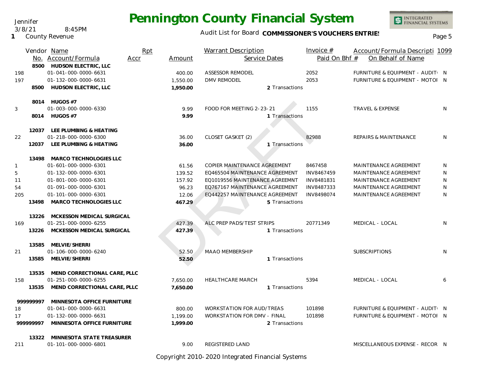#### Audit List for Board COMMISSIONER'S VOUCHERS ENTRIES<br>Page 5

|              |          | Vendor Name                   | Rpt  |          | <b>Warrant Description</b>         | Invoice #     | Account/Formula Descripti 1099   |   |
|--------------|----------|-------------------------------|------|----------|------------------------------------|---------------|----------------------------------|---|
|              |          | No. Account/Formula           | Accr | Amount   | Service Dates                      | Paid On Bhf # | On Behalf of Name                |   |
|              |          | 8500 HUDSON ELECTRIC, LLC     |      |          |                                    |               |                                  |   |
| 198          |          | 01-041-000-0000-6631          |      | 400.00   | <b>ASSESSOR REMODEL</b>            | 2052          | FURNITURE & EQUIPMENT - AUDIT: N |   |
| 197          |          | 01-132-000-0000-6631          |      | 1,550.00 | DMV REMODEL                        | 2053          | FURNITURE & EQUIPMENT - MOTOI N  |   |
|              | 8500     | HUDSON ELECTRIC, LLC          |      | 1,950.00 | 2 Transactions                     |               |                                  |   |
|              |          |                               |      |          |                                    |               |                                  |   |
|              |          | 8014 HUGOS #7                 |      |          |                                    |               |                                  |   |
| 3            |          | 01-003-000-0000-6330          |      | 9.99     | FOOD FOR MEETING 2-23-21           | 1155          | <b>TRAVEL &amp; EXPENSE</b>      | N |
|              |          | 8014 HUGOS #7                 |      | 9.99     | 1 Transactions                     |               |                                  |   |
|              |          |                               |      |          |                                    |               |                                  |   |
|              | 12037    | LEE PLUMBING & HEATING        |      |          |                                    |               |                                  |   |
| 22           |          | 01-218-000-0000-6300          |      | 36.00    | <b>CLOSET GASKET (2)</b>           | 82988         | <b>REPAIRS &amp; MAINTENANCE</b> | N |
|              | 12037    | LEE PLUMBING & HEATING        |      | 36.00    | 1 Transactions                     |               |                                  |   |
|              | 13498    | <b>MARCO TECHNOLOGIES LLC</b> |      |          |                                    |               |                                  |   |
| $\mathbf{1}$ |          | 01-601-000-0000-6301          |      | 61.56    | COPIER MAINTENANCE AGREEMENT       | 8467458       | MAINTENANCE AGREEMENT            | N |
| 5            |          | 01-132-000-0000-6301          |      | 139.52   | EQ465504 MAINTENANCE AGREEMENT     | INV8467459    | MAINTENANCE AGREEMENT            | N |
| 11           |          | 01-801-000-0000-6301          |      | 157.92   | EQ1019556 MAINTENANCE AGREEMNT     | INV8481831    | MAINTENANCE AGREEMENT            | N |
| 54           |          | 01-091-000-0000-6301          |      | 96.23    | EQ767167 MAINTENANCE AGREEMENT     | INV8487333    | MAINTENANCE AGREEMENT            | N |
| 205          |          | 01-101-000-0000-6301          |      | 12.06    | EQ442257 MAINTENANCE AGREEMENT     | INV8498074    | MAINTENANCE AGREEMENT            | N |
|              | 13498    | MARCO TECHNOLOGIES LLC        |      | 467.29   | 5 Transactions                     |               |                                  |   |
|              |          |                               |      |          |                                    |               |                                  |   |
|              | 13226    | MCKESSON MEDICAL SURGICAL     |      |          |                                    |               |                                  |   |
| 169          |          | 01-251-000-0000-6255          |      | 427.39   | ALC PREP PADS/TEST STRIPS          | 20771349      | MEDICAL - LOCAL                  | N |
|              | 13226    | MCKESSON MEDICAL SURGICAL     |      | 427.39   | 1 Transactions                     |               |                                  |   |
|              |          |                               |      |          |                                    |               |                                  |   |
|              | 13585    | MELVIE/SHERRI                 |      |          |                                    |               |                                  |   |
| 21           |          | 01-106-000-0000-6240          |      | 52.50    | <b>MAAO MEMBERSHIP</b>             |               | <b>SUBSCRIPTIONS</b>             | N |
|              | 13585    | MELVIE/SHERRI                 |      | 52.50    | 1 Transactions                     |               |                                  |   |
|              | 13535    | MEND CORRECTIONAL CARE, PLLC  |      |          |                                    |               |                                  |   |
| 158          |          | 01-251-000-0000-6255          |      | 7,650.00 | <b>HEALTHCARE MARCH</b>            | 5394          | MEDICAL - LOCAL                  | 6 |
|              | 13535    | MEND CORRECTIONAL CARE, PLLC  |      | 7,650.00 | 1 Transactions                     |               |                                  |   |
|              |          |                               |      |          |                                    |               |                                  |   |
|              | 99999997 | MINNESOTA OFFICE FURNITURE    |      |          |                                    |               |                                  |   |
| 18           |          | 01-041-000-0000-6631          |      | 800.00   | <b>WORKSTATION FOR AUD/TREAS</b>   | 101898        | FURNITURE & EQUIPMENT - AUDIT( N |   |
| 17           |          | 01-132-000-0000-6631          |      | 1,199.00 | <b>WORKSTATION FOR DMV - FINAL</b> | 101898        | FURNITURE & EQUIPMENT - MOTOI N  |   |
|              | 99999997 | MINNESOTA OFFICE FURNITURE    |      | 1,999.00 | 2 Transactions                     |               |                                  |   |
|              |          |                               |      |          |                                    |               |                                  |   |
|              | 13322    | MINNESOTA STATE TREASURER     |      |          |                                    |               |                                  |   |
| 211          |          | 01-101-000-0000-6801          |      | 9.00     | REGISTERED LAND                    |               | MISCELLANEOUS EXPENSE - RECOR N  |   |

Copyright 2010-2020 Integrated Financial Systems

Jennifer 3/8/21 8:45PM

**1** County Revenue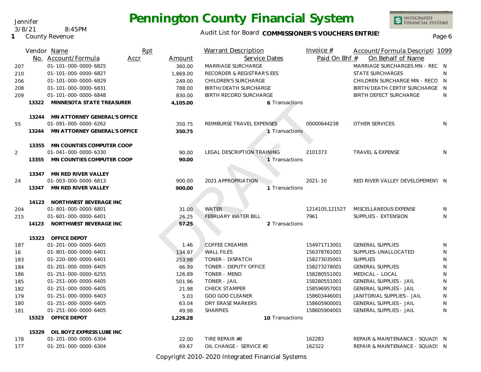### Audit List for Board COMMISSIONER'S VOUCHERS ENTRIES<br>Page 6

|     |       | Vendor Name                                  | Rpt  |          | <b>Warrant Description</b>           | Invoice #                    | Account/Formula Descripti 1099                               |        |
|-----|-------|----------------------------------------------|------|----------|--------------------------------------|------------------------------|--------------------------------------------------------------|--------|
|     |       | No. Account/Formula                          | Accr | Amount   | Service Dates                        | Paid On Bhf #                | On Behalf of Name                                            |        |
| 207 |       | 01-101-000-0000-6825                         |      | 360.00   | MARRIAGE SURCHARGE                   |                              | MARRIAGE SURCHARGES MN - REC N                               |        |
| 210 |       | 01-101-000-0000-6827                         |      | 1,869.00 | RECORDER & REGISTRAR'S EES           |                              | <b>STATE SURCHARGES</b>                                      | N      |
| 206 |       | 01-101-000-0000-6829                         |      | 249.00   | CHILDREN'S SURCHARGE                 |                              | CHILDREN SURCHARGE MN - RECO N                               |        |
| 208 |       | 01-101-000-0000-6831                         |      | 788.00   | BIRTH/DEATH SURCHARGE                |                              | BIRTH/DEATH CERTIF SURCHARGE N                               |        |
| 209 |       | 01-101-000-0000-6848                         |      | 830.00   | BIRTH RECORD SURCHARGE               |                              | <b>BIRTH DEFECT SURCHARGE</b>                                | N      |
|     | 13322 | MINNESOTA STATE TREASURER                    |      | 4,105.00 | 6 Transactions                       |                              |                                                              |        |
|     |       | 13244 MN ATTORNEY GENERAL'S OFFICE           |      |          |                                      |                              |                                                              |        |
| 55  |       | 01-091-000-0000-6262                         |      | 350.75   | REIMBURSE TRAVEL EXPENSES            | 00000644238                  | <b>OTHER SERVICES</b>                                        | N      |
|     | 13244 | MN ATTORNEY GENERAL'S OFFICE                 |      | 350.75   | 1 Transactions                       |                              |                                                              |        |
|     |       | 13355 MN COUNTIES COMPUTER COOP              |      |          |                                      |                              |                                                              |        |
| 2   |       | 01-041-000-0000-6330                         |      | 90.00    | <b>LEGAL DESCRIPTION TRAINING</b>    | 2101373                      | <b>TRAVEL &amp; EXPENSE</b>                                  | N      |
|     | 13355 | MN COUNTIES COMPUTER COOP                    |      | 90.00    | 1 Transactions                       |                              |                                                              |        |
|     |       | 13347 MN RED RIVER VALLEY                    |      |          |                                      |                              |                                                              |        |
| 24  |       | 01-003-000-0000-6813                         |      | 900.00   | 2021 APPROPRIATION                   | $2021 - 10$                  | RED RIVER VALLEY DEVELOPEMENT N                              |        |
|     |       | 13347 MN RED RIVER VALLEY                    |      | 900.00   | 1 Transactions                       |                              |                                                              |        |
|     |       | 14123 NORTHWEST BEVERAGE INC                 |      |          |                                      |                              |                                                              |        |
| 204 |       | 01-801-000-0000-6801                         |      | 31.00    | <b>WATER</b>                         | 1214105,121527               | MISCELLANEOUS EXPENSE                                        | N      |
| 215 |       | 01-601-000-0000-6401                         |      | 26.25    | <b>FEBRUARY WATER BILL</b>           | 7961                         | SUPPLIES - EXTENSION                                         | N      |
|     | 14123 | NORTHWEST BEVERAGE INC                       |      | 57.25    | 2 Transactions                       |                              |                                                              |        |
|     | 15323 | <b>OFFICE DEPOT</b>                          |      |          |                                      |                              |                                                              |        |
| 187 |       | 01-201-000-0000-6405                         |      | 1.46     | <b>COFFEE CREAMER</b>                | 154971713001                 | <b>GENERAL SUPPLIES</b>                                      | N      |
| 16  |       | 01-801-000-0000-6401                         |      | 134.97   | <b>WALL FILES</b>                    | 156378761001                 | SUPPLIES-UNALLOCATED                                         | N      |
| 183 |       | 01-220-000-0000-6401                         |      | 253.98   | TONER - DISPATCH                     | 158273035001                 | <b>SUPPLIES</b>                                              | N      |
| 184 |       | 01-201-000-0000-6405                         |      | 66.99    | TONER - DEPUTY OFFICE                | 158273278001                 | <b>GENERAL SUPPLIES</b>                                      | N      |
| 186 |       | 01-251-000-0000-6255                         |      | 126.89   | <b>TONER - MEND</b>                  | 158280551001                 | MEDICAL - LOCAL                                              | N      |
| 185 |       | 01-251-000-0000-6405                         |      | 501.96   | TONER - JAIL                         | 158280551001                 | <b>GENERAL SUPPLIES - JAIL</b>                               | N      |
| 182 |       | 01-251-000-0000-6405                         |      | 21.98    | <b>CHECK STAMPER</b>                 | 158596957001                 | <b>GENERAL SUPPLIES - JAIL</b>                               | N      |
| 179 |       | 01-251-000-0000-6403<br>01-251-000-0000-6405 |      | 5.03     | GOO GOO CLEANER                      | 158603446001                 | JANITORIAL SUPPLIES - JAIL<br><b>GENERAL SUPPLIES - JAIL</b> | N<br>N |
| 180 |       | 01-251-000-0000-6405                         |      | 63.04    | DRY ERASE MARKERS<br><b>SHARPIES</b> | 158605900001<br>158605904001 | <b>GENERAL SUPPLIES - JAIL</b>                               | N      |
| 181 | 15323 | OFFICE DEPOT                                 |      | 49.98    | 10 Transactions                      |                              |                                                              |        |
|     |       |                                              |      | 1,226.28 |                                      |                              |                                                              |        |
|     | 15329 | OIL BOYZ EXPRESS LUBE INC                    |      |          |                                      |                              |                                                              |        |
| 178 |       | 01-201-000-0000-6304                         |      | 22.00    | TIRE REPAIR #8                       | 162283                       | REPAIR & MAINTENANCE - SQUAD! N                              |        |
| 177 |       | 01-201-000-0000-6304                         |      | 69.67    | OIL CHANGE - SERVICE #2              | 162322                       | REPAIR & MAINTENANCE - SQUAD! N                              |        |

Copyright 2010-2020 Integrated Financial Systems

#### Jennifer 3/8/21 8:45PM

**1** County Revenue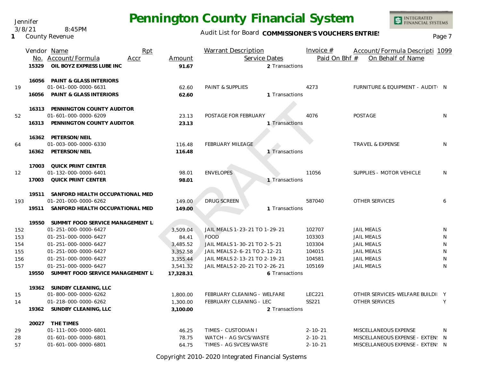Jennifer 3/8/21 8:45PM

**1** County Revenue

### Audit List for Board COMMISSIONER'S VOUCHERS ENTRIES<br>Page 7

INTEGRATED<br>FINANCIAL SYSTEMS

|     |       | Vendor Name                        | Rpt  |           | <b>Warrant Description</b>    |                | Invoice $#$   | Account/Formula Descripti 1099   |              |
|-----|-------|------------------------------------|------|-----------|-------------------------------|----------------|---------------|----------------------------------|--------------|
|     |       | No. Account/Formula                | Accr | Amount    | Service Dates                 |                | Paid On Bhf # | On Behalf of Name                |              |
|     | 15329 | OIL BOYZ EXPRESS LUBE INC          |      | 91.67     |                               | 2 Transactions |               |                                  |              |
|     | 16056 | <b>PAINT &amp; GLASS INTERIORS</b> |      |           |                               |                |               |                                  |              |
| 19  |       | 01-041-000-0000-6631               |      | 62.60     | PAINT & SUPPLIES              |                | 4273          | FURNITURE & EQUIPMENT - AUDIT: N |              |
|     | 16056 | <b>PAINT &amp; GLASS INTERIORS</b> |      | 62.60     |                               | 1 Transactions |               |                                  |              |
|     | 16313 | PENNINGTON COUNTY AUDITOR          |      |           |                               |                |               |                                  |              |
| 52  |       | 01-601-000-0000-6209               |      | 23.13     | POSTAGE FOR FEBRUARY          |                | 4076          | POSTAGE                          | N            |
|     |       | 16313 PENNINGTON COUNTY AUDITOR    |      | 23.13     |                               | 1 Transactions |               |                                  |              |
|     |       | 16362 PETERSON/NEIL                |      |           |                               |                |               |                                  |              |
| 64  |       | 01-003-000-0000-6330               |      | 116.48    | FEBRUARY MILEAGE              |                |               | <b>TRAVEL &amp; EXPENSE</b>      | N            |
|     |       | 16362 PETERSON/NEIL                |      | 116.48    |                               | 1 Transactions |               |                                  |              |
|     | 17003 | QUICK PRINT CENTER                 |      |           |                               |                |               |                                  |              |
| 12  |       | 01-132-000-0000-6401               |      | 98.01     | <b>ENVELOPES</b>              |                | 11056         | SUPPLIES - MOTOR VEHICLE         | N            |
|     | 17003 | QUICK PRINT CENTER                 |      | 98.01     |                               | 1 Transactions |               |                                  |              |
|     | 19511 | SANFORD HEALTH OCCUPATIONAL MED    |      |           |                               |                |               |                                  |              |
| 193 |       | 01-201-000-0000-6262               |      | 149.00    | <b>DRUG SCREEN</b>            |                | 587040        | OTHER SERVICES                   | 6            |
|     | 19511 | SANFORD HEALTH OCCUPATIONAL MED    |      | 149.00    |                               | 1 Transactions |               |                                  |              |
|     | 19550 | SUMMIT FOOD SERVICE MANAGEMENT L   |      |           |                               |                |               |                                  |              |
| 152 |       | 01-251-000-0000-6427               |      | 3,509.04  | JAIL MEALS 1-23-21 TO 1-29-21 |                | 102707        | <b>JAIL MEALS</b>                | N            |
| 153 |       | 01-251-000-0000-6427               |      | 84.41     | <b>FOOD</b>                   |                | 103303        | <b>JAIL MEALS</b>                | N            |
| 154 |       | 01-251-000-0000-6427               |      | 3,485.52  | JAIL MEALS 1-30-21 TO 2-5-21  |                | 103304        | <b>JAIL MEALS</b>                | N            |
| 155 |       | 01-251-000-0000-6427               |      | 3,352.58  | JAIL MEALS 2-6-21 TO 2-12-21  |                | 104015        | <b>JAIL MEALS</b>                | N            |
| 156 |       | 01-251-000-0000-6427               |      | 3,355.44  | JAIL MEALS 2-13-21 TO 2-19-21 |                | 104581        | <b>JAIL MEALS</b>                | N            |
| 157 |       | 01-251-000-0000-6427               |      | 3,541.32  | JAIL MEALS 2-20-21 TO 2-26-21 |                | 105169        | <b>JAIL MEALS</b>                | N            |
|     | 19550 | SUMMIT FOOD SERVICE MANAGEMENT L   |      | 17,328.31 |                               | 6 Transactions |               |                                  |              |
|     |       | 19362 SUNDBY CLEANING, LLC         |      |           |                               |                |               |                                  |              |
| 15  |       | 01-800-000-0000-6262               |      | 1,800.00  | FEBRUARY CLEANING - WELFARE   |                | <b>LEC221</b> | OTHER SERVICES-WELFARE BUILDI Y  |              |
| 14  |       | 01-218-000-0000-6262               |      | 1,300.00  | FEBRUARY CLEANING - LEC       |                | SS221         | OTHER SERVICES                   | Y            |
|     | 19362 | SUNDBY CLEANING, LLC               |      | 3,100.00  |                               | 2 Transactions |               |                                  |              |
|     |       | 20027 THE TIMES                    |      |           |                               |                |               |                                  |              |
| 29  |       | 01-111-000-0000-6801               |      | 46.25     | TIMES - CUSTODIAN I           |                | $2 - 10 - 21$ | MISCELLANEOUS EXPENSE            | <sup>N</sup> |
| 28  |       | 01-601-000-0000-6801               |      | 78.75     | WATCH - AG SVCS/WASTE         |                | $2 - 10 - 21$ | MISCELLANEOUS EXPENSE - EXTEN: N |              |
| 57  |       | 01-601-000-0000-6801               |      | 64.75     | TIMES - AG SVCES/WASTE        |                | $2 - 10 - 21$ | MISCELLANEOUS EXPENSE - EXTEN: N |              |

Copyright 2010-2020 Integrated Financial Systems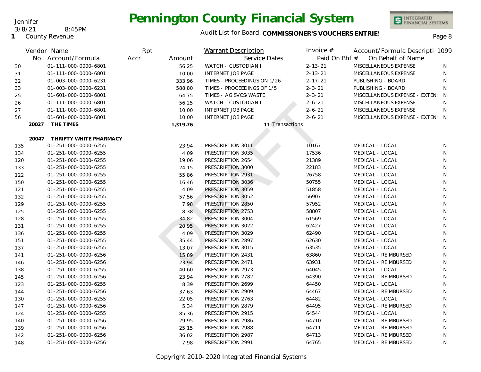### Audit List for Board COMMISSIONER'S VOUCHERS ENTRIES<br>Page 8

|     |       | Vendor Name            | Rpt            | <b>Warrant Description</b>  | Invoice $#$     | Account/Formula Descripti 1099     |    |
|-----|-------|------------------------|----------------|-----------------------------|-----------------|------------------------------------|----|
|     |       | No. Account/Formula    | Accr<br>Amount | Service Dates               |                 | Paid On Bhf #<br>On Behalf of Name |    |
| 30  |       | 01-111-000-0000-6801   | 56.25          | <b>WATCH - CUSTODIAN I</b>  | $2 - 13 - 21$   | MISCELLANEOUS EXPENSE              | N. |
| 31  |       | 01-111-000-0000-6801   | 10.00          | <b>INTERNET JOB PAGE</b>    | $2 - 13 - 21$   | MISCELLANEOUS EXPENSE              | N  |
| 32  |       | 01-003-000-0000-6231   | 333.96         | TIMES - PROCEEDINGS ON 1/26 | $2 - 17 - 21$   | PUBLISHING - BOARD                 | N. |
| 33  |       | 01-003-000-0000-6231   | 588.80         | TIMES - PROCEEDINGS OF 1/5  | $2 - 3 - 21$    | PUBLISHING - BOARD                 | N  |
| 25  |       | 01-601-000-0000-6801   | 64.75          | TIMES - AG SVCS/WASTE       | $2 - 3 - 21$    | MISCELLANEOUS EXPENSE - EXTEN: N   |    |
| 26  |       | 01-111-000-0000-6801   | 56.25          | WATCH - CUSTODIAN I         | $2 - 6 - 21$    | MISCELLANEOUS EXPENSE              | N  |
| 27  |       | 01-111-000-0000-6801   | 10.00          | <b>INTERNET JOB PAGE</b>    | $2 - 6 - 21$    | MISCELLANEOUS EXPENSE              | N  |
| 56  |       | 01-601-000-0000-6801   | 10.00          | <b>INTERNET JOB PAGE</b>    | $2 - 6 - 21$    | MISCELLANEOUS EXPENSE - EXTEN: N   |    |
|     | 20027 | THE TIMES              | 1,319.76       |                             | 11 Transactions |                                    |    |
|     | 20047 | THRIFTY WHITE PHARMACY |                |                             |                 |                                    |    |
| 135 |       | 01-251-000-0000-6255   | 23.94          | PRESCRIPTION 3011           | 10167           | MEDICAL - LOCAL                    | N  |
| 134 |       | 01-251-000-0000-6255   | 4.09           | PRESCRIPTION 3035           | 17536           | MEDICAL - LOCAL                    | N  |
| 120 |       | 01-251-000-0000-6255   | 19.06          | PRESCRIPTION 2654           | 21389           | MEDICAL - LOCAL                    | N  |
| 133 |       | 01-251-000-0000-6255   | 24.15          | PRESCRIPTION 3000           | 22183           | MEDICAL - LOCAL                    | N  |
| 122 |       | 01-251-000-0000-6255   | 55.86          | PRESCRIPTION 2931           | 26758           | MEDICAL - LOCAL                    | N  |
| 150 |       | 01-251-000-0000-6255   | 16.46          | PRESCRIPTION 3036           | 50755           | MEDICAL - LOCAL                    | N  |
| 121 |       | 01-251-000-0000-6255   | 4.09           | PRESCRIPTION 3059           | 51858           | MEDICAL - LOCAL                    | N  |
| 132 |       | 01-251-000-0000-6255   | 57.56          | PRESCRIPTION 3052           | 56907           | MEDICAL - LOCAL                    | N  |
| 129 |       | 01-251-000-0000-6255   | 7.98           | PRESCRIPTION 2850           | 57952           | MEDICAL - LOCAL                    | N  |
| 125 |       | 01-251-000-0000-6255   | 8.38           | PRESCRIPTION 2753           | 58807           | MEDICAL - LOCAL                    | N  |
| 128 |       | 01-251-000-0000-6255   | 34.82          | PRESCRIPTION 3004           | 61569           | MEDICAL - LOCAL                    | N  |
| 131 |       | 01-251-000-0000-6255   | 20.95          | PRESCRIPTION 3022           | 62427           | MEDICAL - LOCAL                    | N  |
| 136 |       | 01-251-000-0000-6255   | 4.09           | PRESCRIPTION 3029           | 62490           | MEDICAL - LOCAL                    | N  |
| 151 |       | 01-251-000-0000-6255   | 35.44          | PRESCRIPTION 2897           | 62630           | MEDICAL - LOCAL                    | N  |
| 137 |       | 01-251-000-0000-6255   | 13.07          | PRESCRIPTION 3015           | 63535           | MEDICAL - LOCAL                    | N  |
| 141 |       | 01-251-000-0000-6256   | 15.89          | PRESCRIPTION 2431           | 63860           | MEDICAL - REIMBURSED               | N  |
| 146 |       | 01-251-000-0000-6256   | 23.94          | PRESCRIPTION 2471           | 63931           | MEDICAL - REIMBURSED               | N  |
| 138 |       | 01-251-000-0000-6255   | 40.60          | PRESCRIPTION 2973           | 64045           | MEDICAL - LOCAL                    | N  |
| 145 |       | 01-251-000-0000-6256   | 23.94          | PRESCRIPTION 2782           | 64390           | MEDICAL - REIMBURSED               | N  |
| 123 |       | 01-251-000-0000-6255   | 8.39           | PRESCRIPTION 2699           | 64450           | MEDICAL - LOCAL                    | N  |
| 144 |       | 01-251-000-0000-6256   | 37.63          | PRESCRIPTION 2909           | 64467           | MEDICAL - REIMBURSED               | N  |
| 130 |       | 01-251-000-0000-6255   | 22.05          | PRESCRIPTION 2763           | 64482           | MEDICAL - LOCAL                    | N  |
| 147 |       | 01-251-000-0000-6256   | 5.34           | PRESCRIPTION 2879           | 64495           | MEDICAL - REIMBURSED               | N  |
| 124 |       | 01-251-000-0000-6255   | 85.36          | PRESCRIPTION 2915           | 64544           | MEDICAL - LOCAL                    | N  |
| 140 |       | 01-251-000-0000-6256   | 29.95          | PRESCRIPTION 2986           | 64710           | MEDICAL - REIMBURSED               | N  |
| 139 |       | 01-251-000-0000-6256   | 25.15          | PRESCRIPTION 2988           | 64711           | MEDICAL - REIMBURSED               | N  |
| 142 |       | 01-251-000-0000-6256   | 36.02          | PRESCRIPTION 2987           | 64713           | MEDICAL - REIMBURSED               | N  |
| 148 |       | 01-251-000-0000-6256   | 7.98           | PRESCRIPTION 2991           | 64765           | MEDICAL - REIMBURSED               | N  |

Jennifer

**1** County Revenue 3/8/21 8:45PM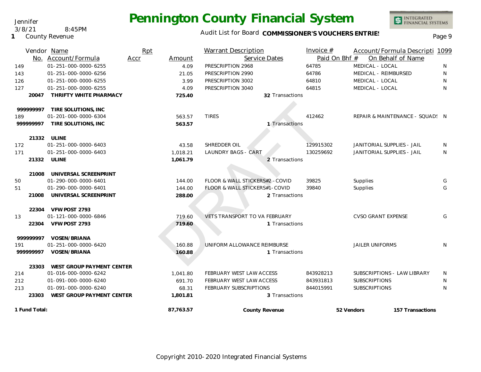### Audit List for Board COMMISSIONER'S VOUCHERS ENTRIES<br>Page 9

|               | Vendor Name<br>No. Account/Formula | Rpt<br>Amount<br>Accr | <b>Warrant Description</b><br>Service Dates | Invoice $#$<br>Paid On Bhf # | Account/Formula Descripti 1099<br>On Behalf of Name |              |
|---------------|------------------------------------|-----------------------|---------------------------------------------|------------------------------|-----------------------------------------------------|--------------|
| 149           | 01-251-000-0000-6255               | 4.09                  | PRESCRIPTION 2968                           | 64785                        | MEDICAL - LOCAL                                     | N            |
| 143           | 01-251-000-0000-6256               | 21.05                 | PRESCRIPTION 2990                           | 64786                        | MEDICAL - REIMBURSED                                | N            |
|               | 01-251-000-0000-6255               | 3.99                  | PRESCRIPTION 3002                           | 64810                        | MEDICAL - LOCAL                                     | $\mathsf{N}$ |
| 126<br>127    | 01-251-000-0000-6255               | 4.09                  | PRESCRIPTION 3040                           | 64815                        | MEDICAL - LOCAL                                     | N            |
| 20047         | THRIFTY WHITE PHARMACY             | 725.40                | 32 Transactions                             |                              |                                                     |              |
| 999999997     | TIRE SOLUTIONS, INC                |                       |                                             |                              |                                                     |              |
| 189           | 01-201-000-0000-6304               | 563.57                | <b>TIRES</b>                                | 412462                       | REPAIR & MAINTENANCE - SQUAD! N                     |              |
| 99999997      | TIRE SOLUTIONS, INC                | 563.57                | 1 Transactions                              |                              |                                                     |              |
|               | 21332 ULINE                        |                       |                                             |                              |                                                     |              |
| 172           | 01-251-000-0000-6403               | 43.58                 | SHREDDER OIL                                | 129915302                    | JANITORIAL SUPPLIES - JAIL                          | N            |
| 171           | 01-251-000-0000-6403               | 1.018.21              | <b>LAUNDRY BAGS - CART</b>                  | 130259692                    | JANITORIAL SUPPLIES - JAIL                          | N            |
|               | 21332 ULINE                        | 1,061.79              | 2 Transactions                              |                              |                                                     |              |
| 21008         | UNIVERSAL SCREENPRINT              |                       |                                             |                              |                                                     |              |
| 50            | 01-290-000-0000-6401               | 144.00                | FLOOR & WALL STICKERS#2 - COVID             | 39825                        | Supplies                                            | G            |
| 51            | 01-290-000-0000-6401               | 144.00                | FLOOR & WALL STICKERS#1-COVID               | 39840                        | Supplies                                            | G            |
| 21008         | UNIVERSAL SCREENPRINT              | 288.00                | 2 Transactions                              |                              |                                                     |              |
|               | 22304 VFW POST 2793                |                       |                                             |                              |                                                     |              |
| 13            | 01-121-000-0000-6846               | 719.60                | VETS TRANSPORT TO VA FEBRUARY               |                              | <b>CVSO GRANT EXPENSE</b>                           | G            |
| 22304         | VFW POST 2793                      | 719.60                | 1 Transactions                              |                              |                                                     |              |
| 99999997      | VOSEN/BRIANA                       |                       |                                             |                              |                                                     |              |
| 191           | 01-251-000-0000-6420               | 160.88                | UNIFORM ALLOWANCE REIMBURSE                 |                              | <b>JAILER UNIFORMS</b>                              | N            |
| 99999997      | VOSEN/BRIANA                       | 160.88                | 1 Transactions                              |                              |                                                     |              |
|               | 23303 WEST GROUP PAYMENT CENTER    |                       |                                             |                              |                                                     |              |
| 214           | 01-016-000-0000-6242               | 1.041.80              | FEBRUARY WEST LAW ACCESS                    | 843928213                    | SUBSCRIPTIONS - LAW LIBRARY                         | N            |
| 212           | 01-091-000-0000-6240               | 691.70                | FEBRUARY WEST LAW ACCESS                    | 843931813                    | <b>SUBSCRIPTIONS</b>                                | N            |
| 213           | 01-091-000-0000-6240               | 68.31                 | <b>FEBRUARY SUBSCRIPTIONS</b>               | 844015991                    | <b>SUBSCRIPTIONS</b>                                | N            |
| 23303         | WEST GROUP PAYMENT CENTER          | 1,801.81              | 3 Transactions                              |                              |                                                     |              |
| 1 Fund Total: |                                    | 87,763.57             | County Revenue                              |                              | 52 Vendors<br>157 Transactions                      |              |

#### Jennifer 3/8/21 8:45PM

**1** County Revenue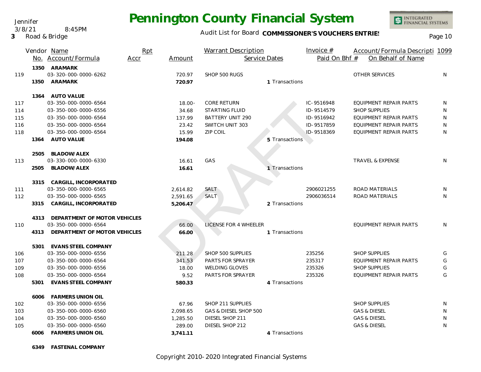Jennifer 3/8/21 8:45PM

#### **3** Road & Bridge

## **Pennington County Financial System**

#### Audit List for Board COMMISSIONER'S VOUCHERS ENTRIES<br>Page 10

INTEGRATED<br>FINANCIAL SYSTEMS

|     |      | Vendor Name<br>No. Account/Formula | Rpt<br>Accr | Amount    | <b>Warrant Description</b><br>Service Dates |                | Invoice $#$<br>Paid On Bhf # | Account/Formula Descripti 1099<br>On Behalf of Name |    |
|-----|------|------------------------------------|-------------|-----------|---------------------------------------------|----------------|------------------------------|-----------------------------------------------------|----|
|     |      |                                    |             |           |                                             |                |                              |                                                     |    |
|     |      | 1350 ARAMARK                       |             |           |                                             |                |                              |                                                     |    |
| 119 |      | 03-320-000-0000-6262               |             | 720.97    | SHOP 500 RUGS                               | 1 Transactions |                              | OTHER SERVICES                                      | N  |
|     |      | 1350 ARAMARK                       |             | 720.97    |                                             |                |                              |                                                     |    |
|     |      | 1364 AUTO VALUE                    |             |           |                                             |                |                              |                                                     |    |
| 117 |      | 03-350-000-0000-6564               |             | $18.00 -$ | CORE RETURN                                 |                | IC-9516948                   | EQUIPMENT REPAIR PARTS                              | N  |
| 114 |      | 03-350-000-0000-6556               |             | 34.68     | <b>STARTING FLUID</b>                       |                | ID-9514579                   | <b>SHOP SUPPLIES</b>                                | N  |
| 115 |      | 03-350-000-0000-6564               |             | 137.99    | <b>BATTERY UNIT 290</b>                     |                | ID-9516942                   | EQUIPMENT REPAIR PARTS                              | N  |
| 116 |      | 03-350-000-0000-6564               |             | 23.42     | SWITCH UNIT 303                             |                | ID-9517859                   | EQUIPMENT REPAIR PARTS                              | N  |
| 118 |      | 03-350-000-0000-6564               |             | 15.99     | <b>ZIP COIL</b>                             |                | ID-9518369                   | EQUIPMENT REPAIR PARTS                              | N  |
|     | 1364 | <b>AUTO VALUE</b>                  |             | 194.08    |                                             | 5 Transactions |                              |                                                     |    |
|     |      | 2505 BLADOW/ALEX                   |             |           |                                             |                |                              |                                                     |    |
| 113 |      | 03-330-000-0000-6330               |             | 16.61     | GAS                                         |                |                              | <b>TRAVEL &amp; EXPENSE</b>                         | N  |
|     | 2505 | <b>BLADOW/ALEX</b>                 |             | 16.61     |                                             | 1 Transactions |                              |                                                     |    |
|     | 3315 | CARGILL, INCORPORATED              |             |           |                                             |                |                              |                                                     |    |
| 111 |      | 03-350-000-0000-6565               |             | 2,614.82  | SALT                                        |                | 2906021255                   | ROAD MATERIALS                                      | N  |
| 112 |      | 03-350-000-0000-6565               |             | 2,591.65  | SALT                                        |                | 2906036514                   | ROAD MATERIALS                                      | N. |
|     | 3315 | CARGILL, INCORPORATED              |             | 5,206.47  |                                             | 2 Transactions |                              |                                                     |    |
|     | 4313 | DEPARTMENT OF MOTOR VEHICLES       |             |           |                                             |                |                              |                                                     |    |
| 110 |      | 03-350-000-0000-6564               |             | 66.00     | LICENSE FOR 4 WHEELER                       |                |                              | EQUIPMENT REPAIR PARTS                              | N. |
|     | 4313 | DEPARTMENT OF MOTOR VEHICLES       |             | 66.00     |                                             | 1 Transactions |                              |                                                     |    |
|     |      | 5301 EVANS STEEL COMPANY           |             |           |                                             |                |                              |                                                     |    |
| 106 |      | 03-350-000-0000-6556               |             | 211.28    | SHOP 500 SUPPLIES                           |                | 235256                       | <b>SHOP SUPPLIES</b>                                | G  |
| 107 |      | 03-350-000-0000-6564               |             | 341.53    | PARTS FOR SPRAYER                           |                | 235317                       | EQUIPMENT REPAIR PARTS                              | G  |
| 109 |      | 03-350-000-0000-6556               |             | 18.00     | <b>WELDING GLOVES</b>                       |                | 235326                       | <b>SHOP SUPPLIES</b>                                | G  |
| 108 |      | 03-350-000-0000-6564               |             | 9.52      | PARTS FOR SPRAYER                           |                | 235326                       | <b>EQUIPMENT REPAIR PARTS</b>                       | G  |
|     | 5301 | <b>EVANS STEEL COMPANY</b>         |             | 580.33    |                                             | 4 Transactions |                              |                                                     |    |
|     | 6006 | FARMERS UNION OIL                  |             |           |                                             |                |                              |                                                     |    |
| 102 |      | 03-350-000-0000-6556               |             | 67.96     | SHOP 211 SUPPLIES                           |                |                              | <b>SHOP SUPPLIES</b>                                | N  |
| 103 |      | 03-350-000-0000-6560               |             | 2.098.65  | GAS & DIESEL SHOP 500                       |                |                              | <b>GAS &amp; DIESEL</b>                             | N  |
| 104 |      | 03-350-000-0000-6560               |             | 1,285.50  | DIESEL SHOP 211                             |                |                              | <b>GAS &amp; DIESEL</b>                             | N  |
| 105 |      | 03-350-000-0000-6560               |             | 289.00    | DIESEL SHOP 212                             |                |                              | <b>GAS &amp; DIESEL</b>                             | N  |
|     | 6006 | FARMERS UNION OIL                  |             | 3,741.11  |                                             | 4 Transactions |                              |                                                     |    |

**6349 FASTENAL COMPANY**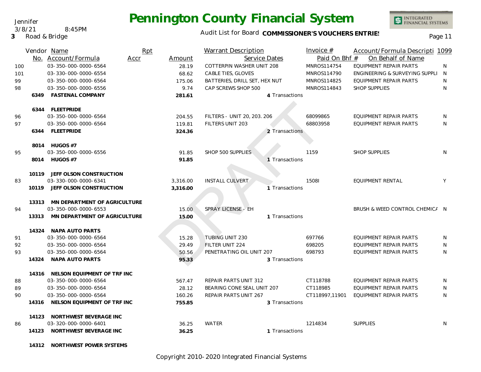#### Jennifer 3/8/21 8:45PM

**3** Road & Bridge

# **Pennington County Financial System**

### Audit List for Board COMMISSIONER'S VOUCHERS ENTRIES<br>Page 11

|     |       | Vendor Name                        | Rpt  |          | <b>Warrant Description</b>    |                | Invoice $#$    | Account/Formula Descripti 1099   |              |
|-----|-------|------------------------------------|------|----------|-------------------------------|----------------|----------------|----------------------------------|--------------|
|     |       | No. Account/Formula                | Accr | Amount   |                               | Service Dates  | Paid On Bhf #  | On Behalf of Name                |              |
| 100 |       | 03-350-000-0000-6564               |      | 28.19    | COTTERPIN WASHER UNIT 208     |                | MNROS114754    | <b>EQUIPMENT REPAIR PARTS</b>    | <sup>N</sup> |
| 101 |       | 03-330-000-0000-6554               |      | 68.62    | CABLE TIES, GLOVES            |                | MNROS114790    | ENGINEERING & SURVEYING SUPPLI N |              |
| 99  |       | 03-350-000-0000-6564               |      | 175.06   | BATTERIES, DRILL SET, HEX NUT |                | MNROS114825    | EQUIPMENT REPAIR PARTS           | N            |
| 98  |       | 03-350-000-0000-6556               |      | 9.74     | CAP SCREWS SHOP 500           |                | MNROS114843    | <b>SHOP SUPPLIES</b>             | N            |
|     |       | 6349 FASTENAL COMPANY              |      | 281.61   |                               | 4 Transactions |                |                                  |              |
|     |       | 6344 FLEETPRIDE                    |      |          |                               |                |                |                                  |              |
| 96  |       | 03-350-000-0000-6564               |      | 204.55   | FILTERS - UNIT 20, 203. 206   |                | 68099865       | EQUIPMENT REPAIR PARTS           | N            |
| 97  |       | 03-350-000-0000-6564               |      | 119.81   | FILTERS UNIT 203              |                | 68803958       | EQUIPMENT REPAIR PARTS           | N            |
|     |       | 6344 FLEETPRIDE                    |      | 324.36   |                               | 2 Transactions |                |                                  |              |
|     |       | 8014 HUGOS #7                      |      |          |                               |                |                |                                  |              |
| 95  |       | 03-350-000-0000-6556               |      | 91.85    | SHOP 500 SUPPLIES             |                | 1159           | <b>SHOP SUPPLIES</b>             | N.           |
|     |       | 8014 HUGOS #7                      |      | 91.85    |                               | 1 Transactions |                |                                  |              |
|     |       | 10119 JEFF OLSON CONSTRUCTION      |      |          |                               |                |                |                                  |              |
| 83  |       | 03-330-000-0000-6341               |      | 3,316.00 | <b>INSTALL CULVERT</b>        |                | 15081          | EQUIPMENT RENTAL                 | Y            |
|     |       | 10119 JEFF OLSON CONSTRUCTION      |      | 3,316.00 |                               | 1 Transactions |                |                                  |              |
|     |       | 13313 MN DEPARTMENT OF AGRICULTURE |      |          |                               |                |                |                                  |              |
| 94  |       | 03-350-000-0000-6553               |      | 15.00    | SPRAY LICENSE - EH            |                |                | BRUSH & WEED CONTROL CHEMICA N   |              |
|     | 13313 | MN DEPARTMENT OF AGRICULTURE       |      | 15.00    |                               | 1 Transactions |                |                                  |              |
|     |       | 14324 NAPA AUTO PARTS              |      |          |                               |                |                |                                  |              |
| 91  |       | 03-350-000-0000-6564               |      | 15.28    | TUBING UNIT 230               |                | 697766         | EQUIPMENT REPAIR PARTS           | N            |
| 92  |       | 03-350-000-0000-6564               |      | 29.49    | FILTER UNIT 224               |                | 698205         | <b>EQUIPMENT REPAIR PARTS</b>    | N            |
| 93  |       | 03-350-000-0000-6564               |      | 50.56    | PENETRATING OIL UNIT 207      |                | 698793         | EQUIPMENT REPAIR PARTS           | N            |
|     | 14324 | NAPA AUTO PARTS                    |      | 95.33    |                               | 3 Transactions |                |                                  |              |
|     |       | 14316 NELSON EQUIPMENT OF TRF INC  |      |          |                               |                |                |                                  |              |
| 88  |       | 03-350-000-0000-6564               |      | 567.47   | REPAIR PARTS UNIT 312         |                | CT118788       | EQUIPMENT REPAIR PARTS           | N            |
| 89  |       | 03-350-000-0000-6564               |      | 28.12    | BEARING CONE SEAL UNIT 207    |                | CT118985       | EQUIPMENT REPAIR PARTS           | N            |
| 90  |       | 03-350-000-0000-6564               |      | 160.26   | REPAIR PARTS UNIT 267         |                | CT118997,11901 | EQUIPMENT REPAIR PARTS           | N            |
|     | 14316 | NELSON EQUIPMENT OF TRF INC        |      | 755.85   |                               | 3 Transactions |                |                                  |              |
|     |       | 14123 NORTHWEST BEVERAGE INC       |      |          |                               |                |                |                                  |              |
| 86  |       | 03-320-000-0000-6401               |      | 36.25    | <b>WATER</b>                  |                | 1214834        | <b>SUPPLIES</b>                  | N            |
|     |       | 14123 NORTHWEST BEVERAGE INC       |      | 36.25    |                               | 1 Transactions |                |                                  |              |
|     |       |                                    |      |          |                               |                |                |                                  |              |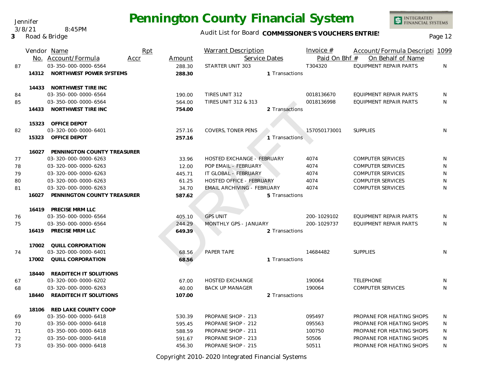Audit List for Board COMMISSIONER'S VOUCHERS ENTRIES<br>Page 12

|    | Vendor Name |                                                 | Rpt  |                | <b>Warrant Description</b>        |                | Invoice $#$   | Account/Formula Descripti 1099 |              |
|----|-------------|-------------------------------------------------|------|----------------|-----------------------------------|----------------|---------------|--------------------------------|--------------|
|    |             | No. Account/Formula                             | Accr | Amount         |                                   | Service Dates  | Paid On Bhf # | On Behalf of Name              |              |
| 87 |             | 03-350-000-0000-6564                            |      | 288.30         | STARTER UNIT 303                  |                | T304320       | <b>EQUIPMENT REPAIR PARTS</b>  | N            |
|    |             | 14312 NORTHWEST POWER SYSTEMS                   |      | 288.30         |                                   | 1 Transactions |               |                                |              |
|    |             | 14433 NORTHWEST TIRE INC                        |      |                |                                   |                |               |                                |              |
| 84 |             | 03-350-000-0000-6564                            |      | 190.00         | TIRES UNIT 312                    |                | 0018136670    | EQUIPMENT REPAIR PARTS         | N            |
| 85 |             | 03-350-000-0000-6564                            |      | 564.00         | <b>TIRES UNIT 312 &amp; 313</b>   |                | 0018136998    | EQUIPMENT REPAIR PARTS         | $\mathsf{N}$ |
|    | 14433       | NORTHWEST TIRE INC                              |      | 754.00         |                                   | 2 Transactions |               |                                |              |
|    | 15323       | OFFICE DEPOT                                    |      |                |                                   |                |               |                                |              |
| 82 |             | 03-320-000-0000-6401                            |      | 257.16         | COVERS, TONER PENS                |                | 157050173001  | <b>SUPPLIES</b>                | N            |
|    | 15323       | OFFICE DEPOT                                    |      | 257.16         |                                   | 1 Transactions |               |                                |              |
|    |             | 16027 PENNINGTON COUNTY TREASURER               |      |                |                                   |                |               |                                |              |
| 77 |             | 03-320-000-0000-6263                            |      | 33.96          | <b>HOSTED EXCHANGE - FEBRUARY</b> |                | 4074          | COMPUTER SERVICES              | N            |
| 78 |             | 03-320-000-0000-6263                            |      | 12.00          | POP EMAIL - FEBRUARY              |                | 4074          | <b>COMPUTER SERVICES</b>       | N            |
| 79 |             | 03-320-000-0000-6263                            |      | 445.71         | IT GLOBAL - FEBRUARY              |                | 4074          | <b>COMPUTER SERVICES</b>       | N            |
| 80 |             | 03-320-000-0000-6263                            |      | 61.25          | <b>HOSTED OFFICE - FEBRUARY</b>   |                | 4074          | <b>COMPUTER SERVICES</b>       | N            |
| 81 |             | 03-320-000-0000-6263                            |      | 34.70          | <b>EMAIL ARCHIVING - FEBRUARY</b> |                | 4074          | <b>COMPUTER SERVICES</b>       | N            |
|    | 16027       | PENNINGTON COUNTY TREASURER                     |      | 587.62         |                                   | 5 Transactions |               |                                |              |
|    |             | 16419 PRECISE MRM LLC                           |      |                |                                   |                |               |                                |              |
| 76 |             | 03-350-000-0000-6564                            |      | 405.10         | <b>GPS UNIT</b>                   |                | 200-1029102   | EQUIPMENT REPAIR PARTS         | N            |
| 75 |             | 03-350-000-0000-6564                            |      | 244.29         | MONTHLY GPS - JANUARY             |                | 200-1029737   | <b>EQUIPMENT REPAIR PARTS</b>  | N            |
|    | 16419       | PRECISE MRM LLC                                 |      | 649.39         |                                   | 2 Transactions |               |                                |              |
| 74 |             | 17002 QUILL CORPORATION<br>03-320-000-0000-6401 |      |                | PAPER TAPE                        |                | 14684482      | <b>SUPPLIES</b>                | N            |
|    |             | 17002 QUILL CORPORATION                         |      | 68.56<br>68.56 |                                   | 1 Transactions |               |                                |              |
|    |             |                                                 |      |                |                                   |                |               |                                |              |
|    | 18440       | READITECH IT SOLUTIONS                          |      |                |                                   |                |               |                                |              |
| 67 |             | 03-320-000-0000-6202                            |      | 67.00          | <b>HOSTED EXCHANGE</b>            |                | 190064        | <b>TELEPHONE</b>               | N            |
| 68 |             | 03-320-000-0000-6263                            |      | 40.00          | <b>BACK UP MANAGER</b>            |                | 190064        | <b>COMPUTER SERVICES</b>       | $\mathsf{N}$ |
|    | 18440       | READITECH IT SOLUTIONS                          |      | 107.00         |                                   | 2 Transactions |               |                                |              |
|    | 18106       | RED LAKE COUNTY COOP                            |      |                |                                   |                |               |                                |              |
| 69 |             | 03-350-000-0000-6418                            |      | 530.39         | PROPANE SHOP - 213                |                | 095497        | PROPANE FOR HEATING SHOPS      | N            |
| 70 |             | 03-350-000-0000-6418                            |      | 595.45         | PROPANE SHOP - 212                |                | 095563        | PROPANE FOR HEATING SHOPS      | N            |
| 71 |             | 03-350-000-0000-6418                            |      | 588.59         | PROPANE SHOP - 211                |                | 100750        | PROPANE FOR HEATING SHOPS      | N            |
| 72 |             | 03-350-000-0000-6418                            |      | 591.67         | PROPANE SHOP - 213                |                | 50506         | PROPANE FOR HEATING SHOPS      | N            |
| 73 |             | 03-350-000-0000-6418                            |      | 456.30         | PROPANE SHOP - 215                |                | 50511         | PROPANE FOR HEATING SHOPS      | N            |

Copyright 2010-2020 Integrated Financial Systems

Jennifer 3/8/21 8:45PM

**3** Road & Bridge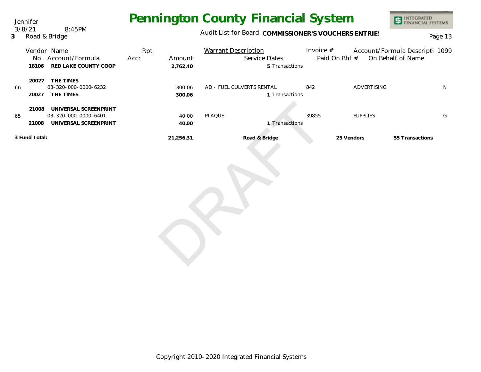Jennifer 3/8/21 8:45PM

#### **3** Road & Bridge

## **Pennington County Financial System**

Audit List for Board COMMISSIONER'S VOUCHERS ENTRIES<br>
Page 13

|    |                | Vendor Name<br>No. Account/Formula                                     | Rpt<br>Accr | Amount           | <b>Warrant Description</b><br>Service Dates | Invoice $#$<br>Paid On Bhf # |                 | Account/Formula Descripti 1099<br>On Behalf of Name |
|----|----------------|------------------------------------------------------------------------|-------------|------------------|---------------------------------------------|------------------------------|-----------------|-----------------------------------------------------|
|    | 18106          | RED LAKE COUNTY COOP                                                   |             | 2,762.40         | 5 Transactions                              |                              |                 |                                                     |
| 66 | 20027          | 20027 THE TIMES<br>03-320-000-0000-6232<br>THE TIMES                   |             | 300.06<br>300.06 | AD - FUEL CULVERTS RENTAL<br>1 Transactions | 842                          | ADVERTISING     | N                                                   |
| 65 | 21008<br>21008 | UNIVERSAL SCREENPRINT<br>03-320-000-0000-6401<br>UNIVERSAL SCREENPRINT |             | 40.00<br>40.00   | PLAQUE<br>1 Transactions                    | 39855                        | <b>SUPPLIES</b> | G                                                   |
|    | 3 Fund Total:  |                                                                        |             | 21,256.31        | Road & Bridge                               |                              | 25 Vendors      | 55 Transactions                                     |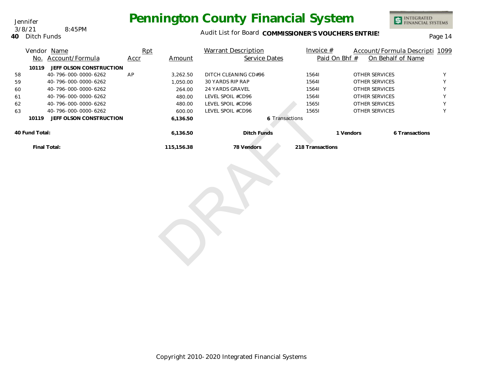**40** Ditch Funds 3/8/21 8:45PM

Jennifer

#### Audit List for Board COMMISSIONER'S VOUCHERS ENTRIES<br>Page 14

|    |                | Vendor Name<br>No. Account/Formula | Rpt<br><b>Accr</b> | Amount                     | <b>Warrant Description</b><br>Service Dates | Invoice $#$<br>Paid On Bhf # | On Behalf of Name | Account/Formula Descripti 1099 |
|----|----------------|------------------------------------|--------------------|----------------------------|---------------------------------------------|------------------------------|-------------------|--------------------------------|
|    | 10119          | JEFF OLSON CONSTRUCTION            |                    |                            |                                             |                              |                   |                                |
| 58 |                | 40-796-000-0000-6262               | AP                 | 3,262.50                   | DITCH CLEANING CD#96                        | 15641                        | OTHER SERVICES    | Y                              |
| 59 |                | 40-796-000-0000-6262               |                    | 1,050.00                   | 30 YARDS RIP RAP                            | 15641                        | OTHER SERVICES    | Υ                              |
| 60 |                | 40-796-000-0000-6262               |                    | 264.00                     | 24 YARDS GRAVEL                             | 15641                        | OTHER SERVICES    | Y                              |
| 61 |                | 40-796-000-0000-6262               |                    | 480.00                     | LEVEL SPOIL #CD96                           | 15641                        | OTHER SERVICES    | Υ                              |
| 62 |                | 40-796-000-0000-6262               |                    | 480.00                     | LEVEL SPOIL #CD96                           | 15651                        | OTHER SERVICES    | Υ                              |
| 63 |                | 40-796-000-0000-6262               |                    | 600.00                     | LEVEL SPOIL #CD96                           | 15651                        | OTHER SERVICES    | Y                              |
|    | 10119          | JEFF OLSON CONSTRUCTION            |                    | 6,136.50<br>6 Transactions |                                             |                              |                   |                                |
|    | 40 Fund Total: |                                    |                    | 6,136.50                   | Ditch Funds                                 | 1 Vendors                    |                   | 6 Transactions                 |
|    |                | Final Total:                       |                    | 115,156.38                 | 78 Vendors                                  | 218 Transactions             |                   |                                |
|    |                |                                    |                    |                            |                                             |                              |                   |                                |

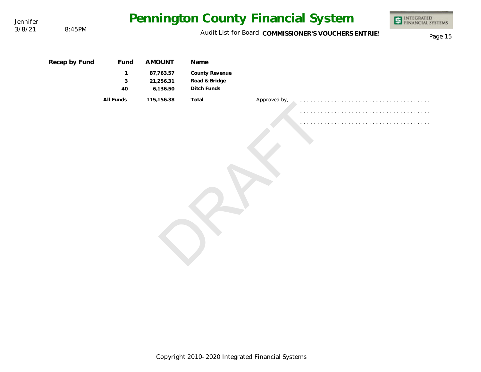| Jennifer |               |              |                                    |                                                |              | Pennington County Financial System                   | INTEGRATED<br>FINANCIAL SYSTEMS |
|----------|---------------|--------------|------------------------------------|------------------------------------------------|--------------|------------------------------------------------------|---------------------------------|
| 3/8/21   | 8:45PM        |              |                                    |                                                |              | Audit List for Board COMMISSIONER'S VOUCHERS ENTRIES | Page 15                         |
|          | Recap by Fund | <b>Fund</b>  | <b>AMOUNT</b>                      | Name                                           |              |                                                      |                                 |
|          |               | 1<br>3<br>40 | 87,763.57<br>21,256.31<br>6,136.50 | County Revenue<br>Road & Bridge<br>Ditch Funds |              |                                                      |                                 |
|          |               | All Funds    | 115,156.38                         | Total                                          | Approved by, |                                                      |                                 |
|          |               |              |                                    |                                                |              |                                                      |                                 |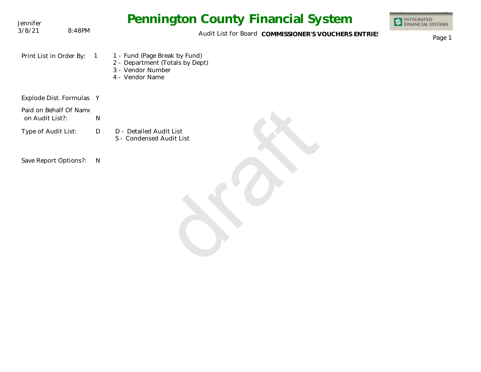| Jennifer                                  |              | <b>Pennington County Financial System</b>                                                                | <b>INTEGRATED<br/>FINANCIAL SYSTEMS</b> |
|-------------------------------------------|--------------|----------------------------------------------------------------------------------------------------------|-----------------------------------------|
| 3/8/21<br>8:48PM                          |              | Audit List for Board COMMISSIONER'S VOUCHERS ENTRIES                                                     | Page 1                                  |
| Print List in Order By:                   | $\sqrt{1}$   | 1 - Fund (Page Break by Fund)<br>2 - Department (Totals by Dept)<br>3 - Vendor Number<br>4 - Vendor Name |                                         |
| Explode Dist. Formulas Y                  |              |                                                                                                          |                                         |
| Paid on Behalf Of Name<br>on Audit List?: | N            |                                                                                                          |                                         |
| Type of Audit List:                       | D            | D - Detailed Audit List<br>S - Condensed Audit List                                                      |                                         |
| Save Report Options?:                     | $\mathsf{N}$ |                                                                                                          |                                         |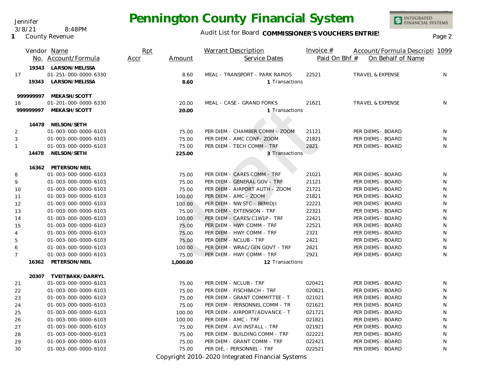Audit List for Board COMMISSIONER'S VOUCHERS ENTRIES<br>Page 2

PER DIE, - PERSONNEL - TRF 022521 PER DIEMS - BOARD N

|                |           | Vendor Name<br>No. Account/Formula             | Rpt<br>Accr | Amount   | <b>Warrant Description</b><br>Service Dates | Invoice $#$<br>Paid On Bhf # | Account/Formula Descripti 1099<br>On Behalf of Name |   |
|----------------|-----------|------------------------------------------------|-------------|----------|---------------------------------------------|------------------------------|-----------------------------------------------------|---|
|                |           | 19343 LARSON/MELISSA                           |             |          |                                             |                              |                                                     |   |
| 17             |           | 01-251-000-0000-6330                           |             | 8.60     | MEAL - TRANSPORT - PARK RAPIDS              | 22521                        | TRAVEL & EXPENSE                                    | N |
|                | 19343     | LARSON/MELISSA                                 |             | 8.60     | 1 Transactions                              |                              |                                                     |   |
|                | 999999997 | MEKASH/SCOTT                                   |             |          |                                             |                              |                                                     |   |
| 18             |           | 01-201-000-0000-6330                           |             | 20.00    | MEAL - CASE - GRAND FORKS                   | 21621                        | TRAVEL & EXPENSE                                    | N |
|                | 99999997  | MEKASH/SCOTT                                   |             | 20.00    | 1 Transactions                              |                              |                                                     |   |
|                |           | 14478 NELSON/SETH                              |             |          |                                             |                              |                                                     |   |
| $\overline{2}$ |           | 01-003-000-0000-6103                           |             | 75.00    | PER DIEM - CHAMBER COMM - ZOOM              | 21121                        | PER DIEMS - BOARD                                   | N |
| 3              |           | 01-003-000-0000-6103                           |             | 75.00    | PER DIEM - AMC CONF- ZOOM                   | 21821                        | PER DIEMS - BOARD                                   | N |
| $\mathbf{1}$   |           | 01-003-000-0000-6103                           |             | 75.00    | PER DIEM - TECH COMM - TRF                  | 2821                         | PER DIEMS - BOARD                                   | N |
|                | 14478     | NELSON/SETH                                    |             | 225.00   | 3 Transactions                              |                              |                                                     |   |
|                |           |                                                |             |          |                                             |                              |                                                     |   |
| 8              |           | 16362 PETERSON/NEIL<br>01-003-000-0000-6103    |             | 75.00    | PER DIEM - CARES COMM - TRF                 | 21021                        | PER DIEMS - BOARD                                   | N |
| 9              |           | 01-003-000-0000-6103                           |             | 75.00    | PER DIEM - GENERAL GOV - TRF                | 21121                        | PER DIEMS - BOARD                                   | N |
| 10             |           | 01-003-000-0000-6103                           |             | 75.00    | PER DIEM - AIRPORT AUTH - ZOOM              | 21721                        | PER DIEMS - BOARD                                   | N |
| 11             |           | 01-003-000-0000-6103                           |             | 100.00   | PER DIEM - AMC - ZOOM                       | 21821                        | PER DIEMS - BOARD                                   | N |
| 12             |           | 01-003-000-0000-6103                           |             | 100.00   | PER DIEM - NW STC - BEMIDJI                 | 22221                        | PER DIEMS - BOARD                                   | N |
| 13             |           | 01-003-000-0000-6103                           |             | 75.00    | PER DIEM - EXTENSION - TRF                  | 22321                        | PER DIEMS - BOARD                                   | N |
| 14             |           | 01-003-000-0000-6103                           |             | 100.00   | PER DIEM - CARES/C1W1P - TRF                | 22421                        | PER DIEMS - BOARD                                   | N |
| 15             |           | 01-003-000-0000-6103                           |             | 75.00    | PER DIEM - HWY COMM - TRF                   | 22521                        | PER DIEMS - BOARD                                   | N |
| 4              |           | 01-003-000-0000-6103                           |             | 75.00    | PER DIEM - HWY COMM - TRF                   | 2321                         | PER DIEMS - BOARD                                   | N |
| 5              |           | 01-003-000-0000-6103                           |             | 75.00    | PER DIEM - NCLUB - TRF                      | 2421                         | PER DIEMS - BOARD                                   | N |
| 6              |           | 01-003-000-0000-6103                           |             | 100.00   | PER DIEM - WRAC/GEN GOVT - TRF              | 2821                         | PER DIEMS - BOARD                                   | N |
| $\overline{7}$ |           | 01-003-000-0000-6103                           |             | 75.00    | PER DIEM - HWY COMM - TRF                   | 2921                         | PER DIEMS - BOARD                                   | N |
|                | 16362     | PETERSON/NEIL                                  |             | 1,000.00 | 12 Transactions                             |                              |                                                     |   |
|                |           |                                                |             |          |                                             |                              |                                                     |   |
| 21             |           | 20307 TVEITBAKK/DARRYL<br>01-003-000-0000-6103 |             | 75.00    | PER DIEM - NCLUB - TRF                      | 020421                       | PER DIEMS - BOARD                                   | N |
| 22             |           | 01-003-000-0000-6103                           |             | 75.00    | PER DIEM - FISCHBACH - TRF                  | 020821                       | PER DIEMS - BOARD                                   | N |
| 23             |           | 01-003-000-0000-6103                           |             | 75.00    | PER DIEM - GRANT COMMITTEE - T              | 021021                       | PER DIEMS - BOARD                                   | N |
|                |           | 01-003-000-0000-6103                           |             | 75.00    | PER DIEM - PERSONNEL COMM - TR              | 021621                       | PER DIEMS - BOARD                                   | N |
| 24<br>25       |           | 01-003-000-0000-6103                           |             | 100.00   | PER DIEM - AIRPORT/ADVANCE - T              | 021721                       | PER DIEMS - BOARD                                   | N |
|                |           | 01-003-000-0000-6103                           |             | 100.00   | PER DIEM - AMC - TRF                        | 021821                       | PER DIEMS - BOARD                                   | N |
| 26             |           | 01-003-000-0000-6103                           |             |          | PER DIEM - AVI INSTALL - TRF                | 021921                       | PER DIEMS - BOARD                                   | N |
| 27             |           | 01-003-000-0000-6103                           |             | 75.00    | PER DIEM - BUILDING COMM - TRF              | 022221                       | PER DIEMS - BOARD                                   | N |
| 28             |           | 01-003-000-0000-6103                           |             | 75.00    | PER DIEM - GRANT COMM - TRF                 | 022421                       | PER DIEMS - BOARD                                   | N |
| 29             |           |                                                |             | 75.00    |                                             |                              |                                                     |   |

Copyright 2010-2020 Integrated Financial Systems

Jennifer 3/8/21 8:48PM

**1** County Revenue

30 75.00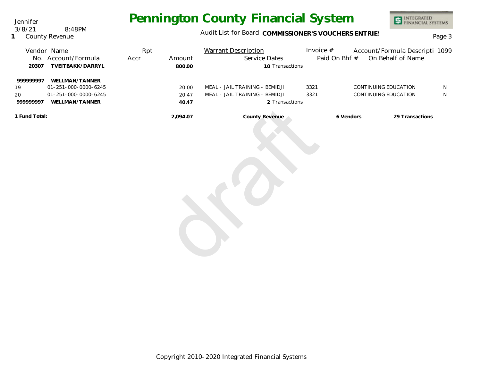Audit List for Board COMMISSIONER'S VOUCHERS ENTRIES<br>Page 3

|        | Vendor Name      | Rpt  |        | <b>Warrant Description</b> | Invoice $#$   | Account/Formula Descripti 1099 |  |
|--------|------------------|------|--------|----------------------------|---------------|--------------------------------|--|
| No.    | Account/Formula  | Accr | Amount | Service Dates              | Paid On Bhf # | On Behalf of Name              |  |
| 20307  | TVEITBAKK/DARRYL |      | 800.00 | 10 Transactions            |               |                                |  |
| 000007 | $\frac{1}{2}$    |      |        |                            |               |                                |  |

| 999999997<br>19<br>20<br>999999997 | WELLMAN/TANNER<br>01-251-000-0000-6245<br>01-251-000-0000-6245<br>WELLMAN/TANNER | 20.00<br>20.47<br>40.47 | MEAL - JAIL TRAINING - BEMIDJI<br>MEAL - JAIL TRAINING - BEMIDJI<br>2 Transactions | 3321<br>3321 | CONTINUING EDUCATION<br>CONTINUING EDUCATION |                 | ${\sf N}$<br>${\sf N}$ |
|------------------------------------|----------------------------------------------------------------------------------|-------------------------|------------------------------------------------------------------------------------|--------------|----------------------------------------------|-----------------|------------------------|
| 1 Fund Total:                      |                                                                                  | 2,094.07                | County Revenue                                                                     |              | 6 Vendors                                    | 29 Transactions |                        |

INTEGRATED<br>FINANCIAL SYSTEMS

**1** County Revenue 3/8/21 8:48PM

Jennifer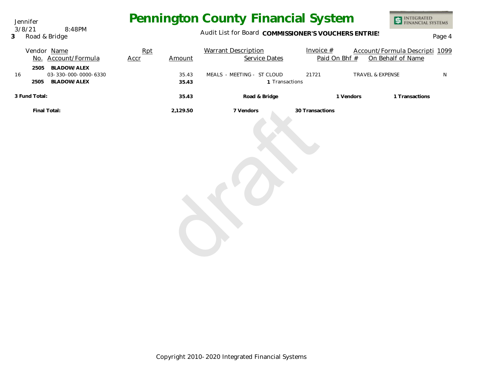Jennifer 3/8/21 8:48PM

**3** Road & Bridge

### Audit List for Board COMMISSIONER'S VOUCHERS ENTRIES<br>Page 4

|               |              | Vendor Name          | Rpt         |          | <b>Warrant Description</b> | Invoice $#$     |           | Account/Formula Descripti 1099 |           |
|---------------|--------------|----------------------|-------------|----------|----------------------------|-----------------|-----------|--------------------------------|-----------|
|               |              | No. Account/Formula  | <b>Accr</b> | Amount   | Service Dates              | Paid On Bhf #   |           | On Behalf of Name              |           |
|               | 2505         | <b>BLADOW/ALEX</b>   |             |          |                            |                 |           |                                |           |
| 16            |              | 03-330-000-0000-6330 |             | 35.43    | MEALS - MEETING - ST CLOUD | 21721           |           | TRAVEL & EXPENSE               | ${\sf N}$ |
|               | 2505         | BLADOW/ALEX          |             | 35.43    | 1 Transactions             |                 |           |                                |           |
| 3 Fund Total: |              |                      |             | 35.43    | Road & Bridge              |                 | 1 Vendors | 1 Transactions                 |           |
|               | Final Total: |                      |             | 2,129.50 | 7 Vendors                  | 30 Transactions |           |                                |           |